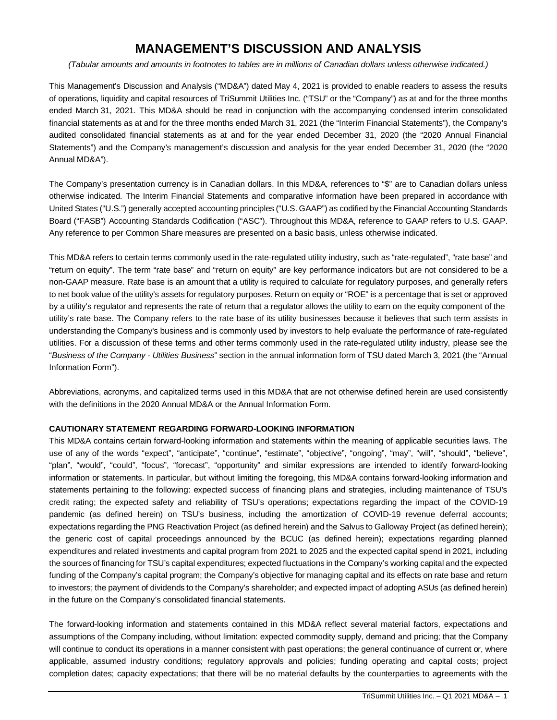# **MANAGEMENT'S DISCUSSION AND ANALYSIS**

*(Tabular amounts and amounts in footnotes to tables are in millions of Canadian dollars unless otherwise indicated.)*

This Management's Discussion and Analysis ("MD&A") dated May 4, 2021 is provided to enable readers to assess the results of operations, liquidity and capital resources of TriSummit Utilities Inc. ("TSU" or the "Company") as at and for the three months ended March 31, 2021. This MD&A should be read in conjunction with the accompanying condensed interim consolidated financial statements as at and for the three months ended March 31, 2021 (the "Interim Financial Statements"), the Company's audited consolidated financial statements as at and for the year ended December 31, 2020 (the "2020 Annual Financial Statements") and the Company's management's discussion and analysis for the year ended December 31, 2020 (the "2020 Annual MD&A").

The Company's presentation currency is in Canadian dollars. In this MD&A, references to "\$" are to Canadian dollars unless otherwise indicated. The Interim Financial Statements and comparative information have been prepared in accordance with United States ("U.S.") generally accepted accounting principles ("U.S. GAAP") as codified by the Financial Accounting Standards Board ("FASB") Accounting Standards Codification ("ASC"). Throughout this MD&A, reference to GAAP refers to U.S. GAAP. Any reference to per Common Share measures are presented on a basic basis, unless otherwise indicated.

This MD&A refers to certain terms commonly used in the rate-regulated utility industry, such as "rate-regulated", "rate base" and "return on equity". The term "rate base" and "return on equity" are key performance indicators but are not considered to be a non-GAAP measure. Rate base is an amount that a utility is required to calculate for regulatory purposes, and generally refers to net book value of the utility's assets for regulatory purposes. Return on equity or "ROE" is a percentage that is set or approved by a utility's regulator and represents the rate of return that a regulator allows the utility to earn on the equity component of the utility's rate base. The Company refers to the rate base of its utility businesses because it believes that such term assists in understanding the Company's business and is commonly used by investors to help evaluate the performance of rate-regulated utilities. For a discussion of these terms and other terms commonly used in the rate-regulated utility industry, please see the "*Business of the Company - Utilities Business*" section in the annual information form of TSU dated March 3, 2021 (the "Annual Information Form").

Abbreviations, acronyms, and capitalized terms used in this MD&A that are not otherwise defined herein are used consistently with the definitions in the 2020 Annual MD&A or the Annual Information Form.

## **CAUTIONARY STATEMENT REGARDING FORWARD-LOOKING INFORMATION**

This MD&A contains certain forward-looking information and statements within the meaning of applicable securities laws. The use of any of the words "expect", "anticipate", "continue", "estimate", "objective", "ongoing", "may", "will", "should", "believe", "plan", "would", "could", "focus", "forecast", "opportunity" and similar expressions are intended to identify forward-looking information or statements. In particular, but without limiting the foregoing, this MD&A contains forward-looking information and statements pertaining to the following: expected success of financing plans and strategies, including maintenance of TSU's credit rating; the expected safety and reliability of TSU's operations; expectations regarding the impact of the COVID-19 pandemic (as defined herein) on TSU's business, including the amortization of COVID-19 revenue deferral accounts; expectations regarding the PNG Reactivation Project (as defined herein) and the Salvus to Galloway Project (as defined herein); the generic cost of capital proceedings announced by the BCUC (as defined herein); expectations regarding planned expenditures and related investments and capital program from 2021 to 2025 and the expected capital spend in 2021, including the sources of financing for TSU's capital expenditures; expected fluctuations in the Company's working capital and the expected funding of the Company's capital program; the Company's objective for managing capital and its effects on rate base and return to investors; the payment of dividends to the Company's shareholder; and expected impact of adopting ASUs (as defined herein) in the future on the Company's consolidated financial statements.

The forward-looking information and statements contained in this MD&A reflect several material factors, expectations and assumptions of the Company including, without limitation: expected commodity supply, demand and pricing; that the Company will continue to conduct its operations in a manner consistent with past operations; the general continuance of current or, where applicable, assumed industry conditions; regulatory approvals and policies; funding operating and capital costs; project completion dates; capacity expectations; that there will be no material defaults by the counterparties to agreements with the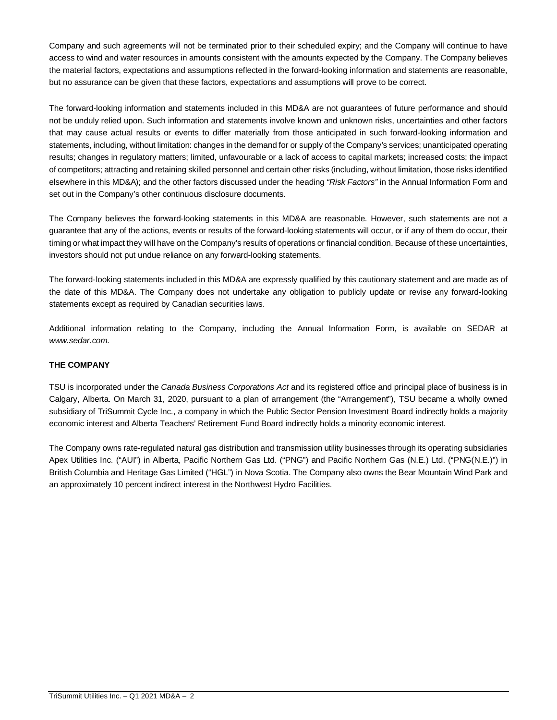Company and such agreements will not be terminated prior to their scheduled expiry; and the Company will continue to have access to wind and water resources in amounts consistent with the amounts expected by the Company. The Company believes the material factors, expectations and assumptions reflected in the forward-looking information and statements are reasonable, but no assurance can be given that these factors, expectations and assumptions will prove to be correct.

The forward-looking information and statements included in this MD&A are not guarantees of future performance and should not be unduly relied upon. Such information and statements involve known and unknown risks, uncertainties and other factors that may cause actual results or events to differ materially from those anticipated in such forward-looking information and statements, including, without limitation: changes in the demand for or supply of the Company's services; unanticipated operating results; changes in regulatory matters; limited, unfavourable or a lack of access to capital markets; increased costs; the impact of competitors; attracting and retaining skilled personnel and certain other risks (including, without limitation, those risks identified elsewhere in this MD&A); and the other factors discussed under the heading *"Risk Factors"* in the Annual Information Form and set out in the Company's other continuous disclosure documents.

The Company believes the forward-looking statements in this MD&A are reasonable. However, such statements are not a guarantee that any of the actions, events or results of the forward-looking statements will occur, or if any of them do occur, their timing or what impact they will have on the Company's results of operations or financial condition. Because of these uncertainties, investors should not put undue reliance on any forward-looking statements.

The forward-looking statements included in this MD&A are expressly qualified by this cautionary statement and are made as of the date of this MD&A. The Company does not undertake any obligation to publicly update or revise any forward-looking statements except as required by Canadian securities laws.

Additional information relating to the Company, including the Annual Information Form, is available on SEDAR at *www.sedar.com.*

# **THE COMPANY**

TSU is incorporated under the *Canada Business Corporations Act* and its registered office and principal place of business is in Calgary, Alberta. On March 31, 2020, pursuant to a plan of arrangement (the "Arrangement"), TSU became a wholly owned subsidiary of TriSummit Cycle Inc., a company in which the Public Sector Pension Investment Board indirectly holds a majority economic interest and Alberta Teachers' Retirement Fund Board indirectly holds a minority economic interest.

The Company owns rate-regulated natural gas distribution and transmission utility businesses through its operating subsidiaries Apex Utilities Inc. ("AUI") in Alberta, Pacific Northern Gas Ltd. ("PNG") and Pacific Northern Gas (N.E.) Ltd. ("PNG(N.E.)") in British Columbia and Heritage Gas Limited ("HGL") in Nova Scotia. The Company also owns the Bear Mountain Wind Park and an approximately 10 percent indirect interest in the Northwest Hydro Facilities.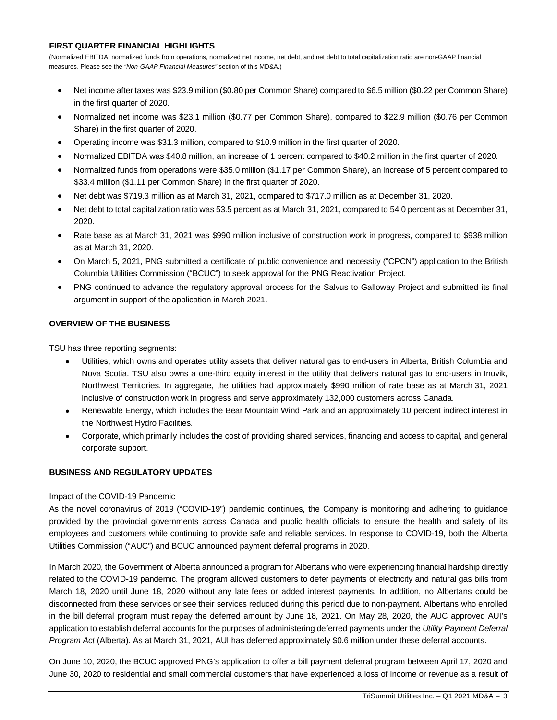#### **FIRST QUARTER FINANCIAL HIGHLIGHTS**

(Normalized EBITDA, normalized funds from operations, normalized net income, net debt, and net debt to total capitalization ratio are non-GAAP financial measures. Please see the *"Non-GAAP Financial Measures"* section of this MD&A.)

- Net income after taxes was \$23.9 million (\$0.80 per Common Share) compared to \$6.5 million (\$0.22 per Common Share) in the first quarter of 2020.
- Normalized net income was \$23.1 million (\$0.77 per Common Share), compared to \$22.9 million (\$0.76 per Common Share) in the first quarter of 2020.
- Operating income was \$31.3 million, compared to \$10.9 million in the first quarter of 2020.
- Normalized EBITDA was \$40.8 million, an increase of 1 percent compared to \$40.2 million in the first quarter of 2020.
- Normalized funds from operations were \$35.0 million (\$1.17 per Common Share), an increase of 5 percent compared to \$33.4 million (\$1.11 per Common Share) in the first quarter of 2020.
- Net debt was \$719.3 million as at March 31, 2021, compared to \$717.0 million as at December 31, 2020.
- Net debt to total capitalization ratio was 53.5 percent as at March 31, 2021, compared to 54.0 percent as at December 31, 2020.
- Rate base as at March 31, 2021 was \$990 million inclusive of construction work in progress, compared to \$938 million as at March 31, 2020.
- On March 5, 2021, PNG submitted a certificate of public convenience and necessity ("CPCN") application to the British Columbia Utilities Commission ("BCUC") to seek approval for the PNG Reactivation Project.
- PNG continued to advance the regulatory approval process for the Salvus to Galloway Project and submitted its final argument in support of the application in March 2021.

## **OVERVIEW OF THE BUSINESS**

TSU has three reporting segments:

- Utilities, which owns and operates utility assets that deliver natural gas to end-users in Alberta, British Columbia and Nova Scotia. TSU also owns a one-third equity interest in the utility that delivers natural gas to end-users in Inuvik, Northwest Territories. In aggregate, the utilities had approximately \$990 million of rate base as at March 31, 2021 inclusive of construction work in progress and serve approximately 132,000 customers across Canada.
- Renewable Energy, which includes the Bear Mountain Wind Park and an approximately 10 percent indirect interest in the Northwest Hydro Facilities.
- Corporate, which primarily includes the cost of providing shared services, financing and access to capital, and general corporate support.

## **BUSINESS AND REGULATORY UPDATES**

## Impact of the COVID-19 Pandemic

As the novel coronavirus of 2019 ("COVID-19") pandemic continues, the Company is monitoring and adhering to guidance provided by the provincial governments across Canada and public health officials to ensure the health and safety of its employees and customers while continuing to provide safe and reliable services. In response to COVID-19, both the Alberta Utilities Commission ("AUC") and BCUC announced payment deferral programs in 2020.

In March 2020, the Government of Alberta announced a program for Albertans who were experiencing financial hardship directly related to the COVID-19 pandemic. The program allowed customers to defer payments of electricity and natural gas bills from March 18, 2020 until June 18, 2020 without any late fees or added interest payments. In addition, no Albertans could be disconnected from these services or see their services reduced during this period due to non-payment. Albertans who enrolled in the bill deferral program must repay the deferred amount by June 18, 2021. On May 28, 2020, the AUC approved AUI's application to establish deferral accounts for the purposes of administering deferred payments under the *Utility Payment Deferral Program Act* (Alberta). As at March 31, 2021, AUI has deferred approximately \$0.6 million under these deferral accounts.

On June 10, 2020, the BCUC approved PNG's application to offer a bill payment deferral program between April 17, 2020 and June 30, 2020 to residential and small commercial customers that have experienced a loss of income or revenue as a result of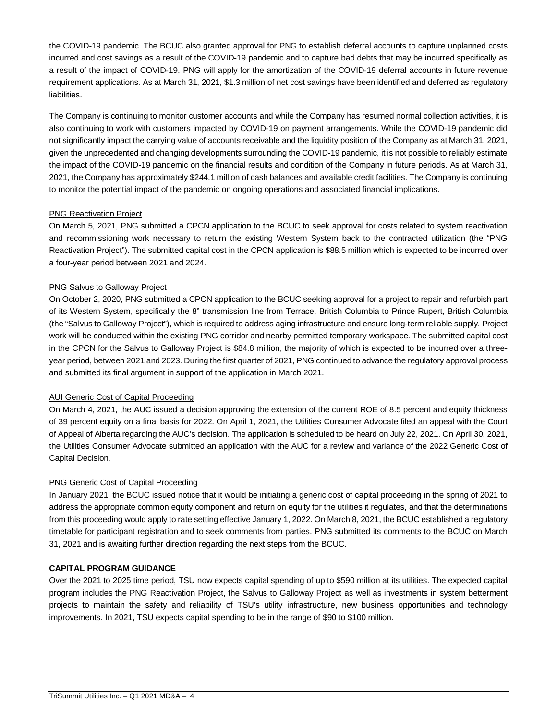the COVID-19 pandemic. The BCUC also granted approval for PNG to establish deferral accounts to capture unplanned costs incurred and cost savings as a result of the COVID-19 pandemic and to capture bad debts that may be incurred specifically as a result of the impact of COVID-19. PNG will apply for the amortization of the COVID-19 deferral accounts in future revenue requirement applications. As at March 31, 2021, \$1.3 million of net cost savings have been identified and deferred as regulatory liabilities.

The Company is continuing to monitor customer accounts and while the Company has resumed normal collection activities, it is also continuing to work with customers impacted by COVID-19 on payment arrangements. While the COVID-19 pandemic did not significantly impact the carrying value of accounts receivable and the liquidity position of the Company as at March 31, 2021, given the unprecedented and changing developments surrounding the COVID-19 pandemic, it is not possible to reliably estimate the impact of the COVID-19 pandemic on the financial results and condition of the Company in future periods. As at March 31, 2021, the Company has approximately \$244.1 million of cash balances and available credit facilities. The Company is continuing to monitor the potential impact of the pandemic on ongoing operations and associated financial implications.

# PNG Reactivation Project

On March 5, 2021, PNG submitted a CPCN application to the BCUC to seek approval for costs related to system reactivation and recommissioning work necessary to return the existing Western System back to the contracted utilization (the "PNG Reactivation Project"). The submitted capital cost in the CPCN application is \$88.5 million which is expected to be incurred over a four-year period between 2021 and 2024.

# PNG Salvus to Galloway Project

On October 2, 2020, PNG submitted a CPCN application to the BCUC seeking approval for a project to repair and refurbish part of its Western System, specifically the 8" transmission line from Terrace, British Columbia to Prince Rupert, British Columbia (the "Salvus to Galloway Project"), which is required to address aging infrastructure and ensure long-term reliable supply. Project work will be conducted within the existing PNG corridor and nearby permitted temporary workspace. The submitted capital cost in the CPCN for the Salvus to Galloway Project is \$84.8 million, the majority of which is expected to be incurred over a threeyear period, between 2021 and 2023. During the first quarter of 2021, PNG continued to advance the regulatory approval process and submitted its final argument in support of the application in March 2021.

## AUI Generic Cost of Capital Proceeding

On March 4, 2021, the AUC issued a decision approving the extension of the current ROE of 8.5 percent and equity thickness of 39 percent equity on a final basis for 2022. On April 1, 2021, the Utilities Consumer Advocate filed an appeal with the Court of Appeal of Alberta regarding the AUC's decision. The application is scheduled to be heard on July 22, 2021. On April 30, 2021, the Utilities Consumer Advocate submitted an application with the AUC for a review and variance of the 2022 Generic Cost of Capital Decision.

## PNG Generic Cost of Capital Proceeding

In January 2021, the BCUC issued notice that it would be initiating a generic cost of capital proceeding in the spring of 2021 to address the appropriate common equity component and return on equity for the utilities it regulates, and that the determinations from this proceeding would apply to rate setting effective January 1, 2022. On March 8, 2021, the BCUC established a regulatory timetable for participant registration and to seek comments from parties. PNG submitted its comments to the BCUC on March 31, 2021 and is awaiting further direction regarding the next steps from the BCUC.

## **CAPITAL PROGRAM GUIDANCE**

Over the 2021 to 2025 time period, TSU now expects capital spending of up to \$590 million at its utilities. The expected capital program includes the PNG Reactivation Project, the Salvus to Galloway Project as well as investments in system betterment projects to maintain the safety and reliability of TSU's utility infrastructure, new business opportunities and technology improvements. In 2021, TSU expects capital spending to be in the range of \$90 to \$100 million.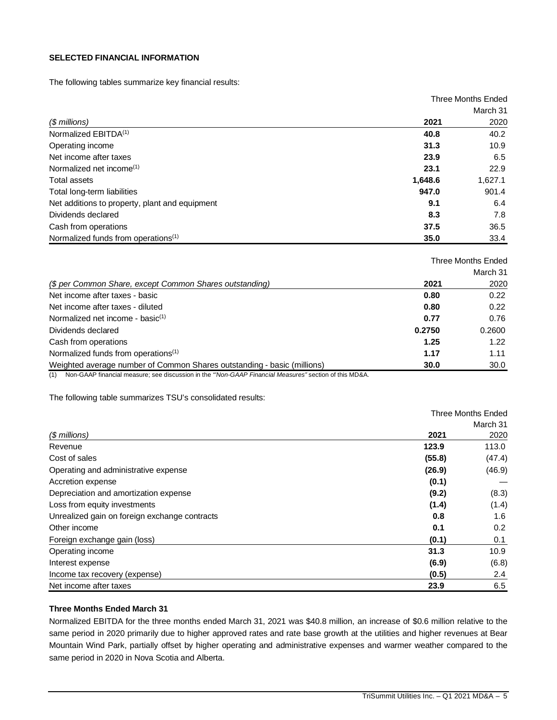#### **SELECTED FINANCIAL INFORMATION**

The following tables summarize key financial results:

|                                                 | <b>Three Months Ended</b> |          |
|-------------------------------------------------|---------------------------|----------|
|                                                 |                           | March 31 |
| (\$ millions)                                   | 2021                      | 2020     |
| Normalized EBITDA <sup>(1)</sup>                | 40.8                      | 40.2     |
| Operating income                                | 31.3                      | 10.9     |
| Net income after taxes                          | 23.9                      | 6.5      |
| Normalized net income $(1)$                     | 23.1                      | 22.9     |
| Total assets                                    | 1,648.6                   | 1,627.1  |
| Total long-term liabilities                     | 947.0                     | 901.4    |
| Net additions to property, plant and equipment  | 9.1                       | 6.4      |
| Dividends declared                              | 8.3                       | 7.8      |
| Cash from operations                            | 37.5                      | 36.5     |
| Normalized funds from operations <sup>(1)</sup> | 35.0                      | 33.4     |

|                                                                         | <b>Three Months Ended</b> |          |
|-------------------------------------------------------------------------|---------------------------|----------|
|                                                                         |                           | March 31 |
| (\$ per Common Share, except Common Shares outstanding)                 | 2021                      | 2020     |
| Net income after taxes - basic                                          | 0.80                      | 0.22     |
| Net income after taxes - diluted                                        | 0.80                      | 0.22     |
| Normalized net income - basic $(1)$                                     | 0.77                      | 0.76     |
| Dividends declared                                                      | 0.2750                    | 0.2600   |
| Cash from operations                                                    | 1.25                      | 1.22     |
| Normalized funds from operations <sup>(1)</sup>                         | 1.17                      | 1.11     |
| Weighted average number of Common Shares outstanding - basic (millions) | 30.0                      | 30.0     |

(1) Non-GAAP financial measure; see discussion in the *"'Non-GAAP Financial Measures"* section of this MD&A.

The following table summarizes TSU's consolidated results:

|                                               |        | <b>Three Months Ended</b> |
|-----------------------------------------------|--------|---------------------------|
|                                               |        | March 31                  |
| $$$ millions)                                 | 2021   | 2020                      |
| Revenue                                       | 123.9  | 113.0                     |
| Cost of sales                                 | (55.8) | (47.4)                    |
| Operating and administrative expense          | (26.9) | (46.9)                    |
| Accretion expense                             | (0.1)  |                           |
| Depreciation and amortization expense         | (9.2)  | (8.3)                     |
| Loss from equity investments                  | (1.4)  | (1.4)                     |
| Unrealized gain on foreign exchange contracts | 0.8    | 1.6                       |
| Other income                                  | 0.1    | 0.2                       |
| Foreign exchange gain (loss)                  | (0.1)  | 0.1                       |
| Operating income                              | 31.3   | 10.9                      |
| Interest expense                              | (6.9)  | (6.8)                     |
| Income tax recovery (expense)                 | (0.5)  | 2.4                       |
| Net income after taxes                        | 23.9   | 6.5                       |

#### **Three Months Ended March 31**

Normalized EBITDA for the three months ended March 31, 2021 was \$40.8 million, an increase of \$0.6 million relative to the same period in 2020 primarily due to higher approved rates and rate base growth at the utilities and higher revenues at Bear Mountain Wind Park, partially offset by higher operating and administrative expenses and warmer weather compared to the same period in 2020 in Nova Scotia and Alberta.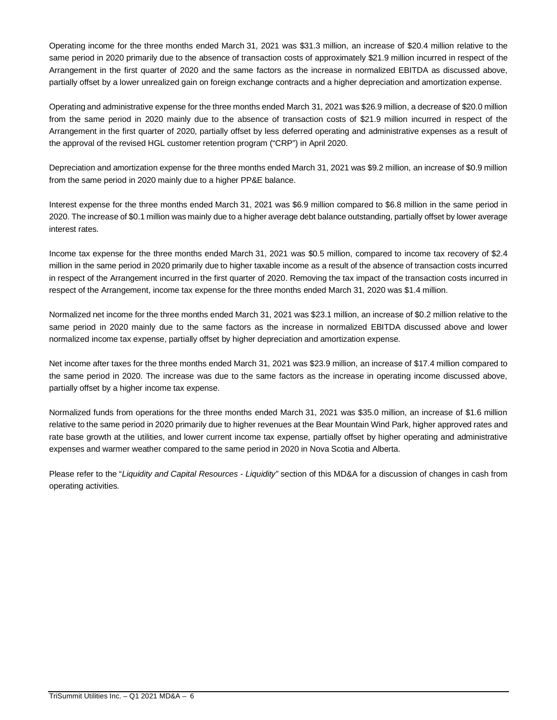Operating income for the three months ended March 31, 2021 was \$31.3 million, an increase of \$20.4 million relative to the same period in 2020 primarily due to the absence of transaction costs of approximately \$21.9 million incurred in respect of the Arrangement in the first quarter of 2020 and the same factors as the increase in normalized EBITDA as discussed above, partially offset by a lower unrealized gain on foreign exchange contracts and a higher depreciation and amortization expense.

Operating and administrative expense for the three months ended March 31, 2021 was \$26.9 million, a decrease of \$20.0 million from the same period in 2020 mainly due to the absence of transaction costs of \$21.9 million incurred in respect of the Arrangement in the first quarter of 2020, partially offset by less deferred operating and administrative expenses as a result of the approval of the revised HGL customer retention program ("CRP") in April 2020.

Depreciation and amortization expense for the three months ended March 31, 2021 was \$9.2 million, an increase of \$0.9 million from the same period in 2020 mainly due to a higher PP&E balance.

Interest expense for the three months ended March 31, 2021 was \$6.9 million compared to \$6.8 million in the same period in 2020. The increase of \$0.1 million was mainly due to a higher average debt balance outstanding, partially offset by lower average interest rates.

Income tax expense for the three months ended March 31, 2021 was \$0.5 million, compared to income tax recovery of \$2.4 million in the same period in 2020 primarily due to higher taxable income as a result of the absence of transaction costs incurred in respect of the Arrangement incurred in the first quarter of 2020. Removing the tax impact of the transaction costs incurred in respect of the Arrangement, income tax expense for the three months ended March 31, 2020 was \$1.4 million.

Normalized net income for the three months ended March 31, 2021 was \$23.1 million, an increase of \$0.2 million relative to the same period in 2020 mainly due to the same factors as the increase in normalized EBITDA discussed above and lower normalized income tax expense, partially offset by higher depreciation and amortization expense.

Net income after taxes for the three months ended March 31, 2021 was \$23.9 million, an increase of \$17.4 million compared to the same period in 2020. The increase was due to the same factors as the increase in operating income discussed above, partially offset by a higher income tax expense.

Normalized funds from operations for the three months ended March 31, 2021 was \$35.0 million, an increase of \$1.6 million relative to the same period in 2020 primarily due to higher revenues at the Bear Mountain Wind Park, higher approved rates and rate base growth at the utilities, and lower current income tax expense, partially offset by higher operating and administrative expenses and warmer weather compared to the same period in 2020 in Nova Scotia and Alberta.

Please refer to the "*Liquidity and Capital Resources - Liquidity"* section of this MD&A for a discussion of changes in cash from operating activities.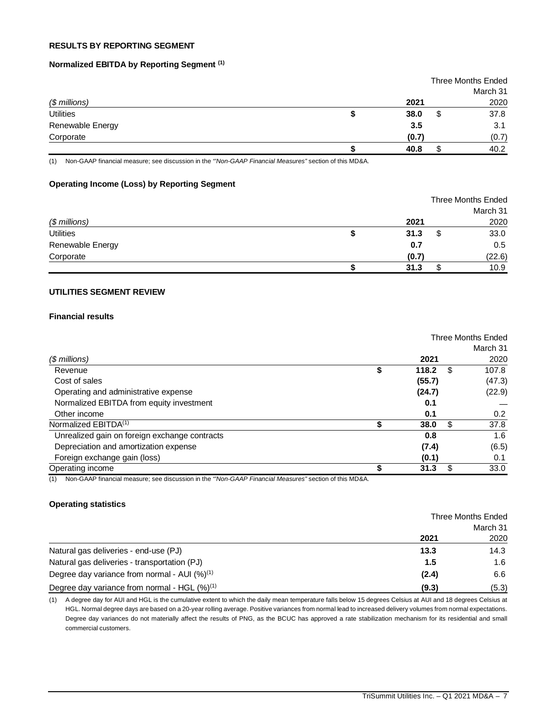# **RESULTS BY REPORTING SEGMENT**

#### **Normalized EBITDA by Reporting Segment (1)**

|                  |       | <b>Three Months Ended</b> |
|------------------|-------|---------------------------|
|                  |       | March 31                  |
| $$$ millions)    | 2021  | 2020                      |
| <b>Utilities</b> | 38.0  | 37.8                      |
| Renewable Energy | 3.5   | 3.1                       |
| Corporate        | (0.7) | (0.7)                     |
|                  | 40.8  | 40.2                      |

(1) Non-GAAP financial measure; see discussion in the *"'Non-GAAP Financial Measures"* section of this MD&A.

#### **Operating Income (Loss) by Reporting Segment**

|                  | <b>Three Months Ended</b> |    |          |
|------------------|---------------------------|----|----------|
|                  |                           |    | March 31 |
| $$$ millions)    | 2021                      |    | 2020     |
| <b>Utilities</b> | 31.3                      | \$ | 33.0     |
| Renewable Energy | 0.7                       |    | 0.5      |
| Corporate        | (0.7)                     |    | (22.6)   |
|                  | 31.3                      |    | 10.9     |

# **UTILITIES SEGMENT REVIEW**

## **Financial results**

|                                               | Three Months Ended |        |   |          |
|-----------------------------------------------|--------------------|--------|---|----------|
|                                               |                    |        |   | March 31 |
| $$$ millions)                                 |                    | 2021   |   | 2020     |
| Revenue                                       | \$                 | 118.2  | S | 107.8    |
| Cost of sales                                 |                    | (55.7) |   | (47.3)   |
| Operating and administrative expense          |                    | (24.7) |   | (22.9)   |
| Normalized EBITDA from equity investment      |                    | 0.1    |   |          |
| Other income                                  |                    | 0.1    |   | 0.2      |
| Normalized EBITDA <sup>(1)</sup>              |                    | 38.0   | S | 37.8     |
| Unrealized gain on foreign exchange contracts |                    | 0.8    |   | 1.6      |
| Depreciation and amortization expense         |                    | (7.4)  |   | (6.5)    |
| Foreign exchange gain (loss)                  |                    | (0.1)  |   | 0.1      |
| Operating income                              |                    | 31.3   | S | 33.0     |

(1) Non-GAAP financial measure; see discussion in the *"'Non-GAAP Financial Measures"* section of this MD&A.

#### **Operating statistics**

|                                                          | <b>Three Months Ended</b> |       |
|----------------------------------------------------------|---------------------------|-------|
|                                                          | March 31                  |       |
|                                                          | 2021                      | 2020  |
| Natural gas deliveries - end-use (PJ)                    | 13.3                      | 14.3  |
| Natural gas deliveries - transportation (PJ)             | 1.5                       | 1.6   |
| Degree day variance from normal - AUI $(%)^{(1)}$        | (2.4)                     | 6.6   |
| Degree day variance from normal - HGL (%) <sup>(1)</sup> | (9.3)                     | (5.3) |

(1) A degree day for AUI and HGL is the cumulative extent to which the daily mean temperature falls below 15 degrees Celsius at AUI and 18 degrees Celsius at HGL. Normal degree days are based on a 20-year rolling average. Positive variances from normal lead to increased delivery volumes from normal expectations. Degree day variances do not materially affect the results of PNG, as the BCUC has approved a rate stabilization mechanism for its residential and small commercial customers.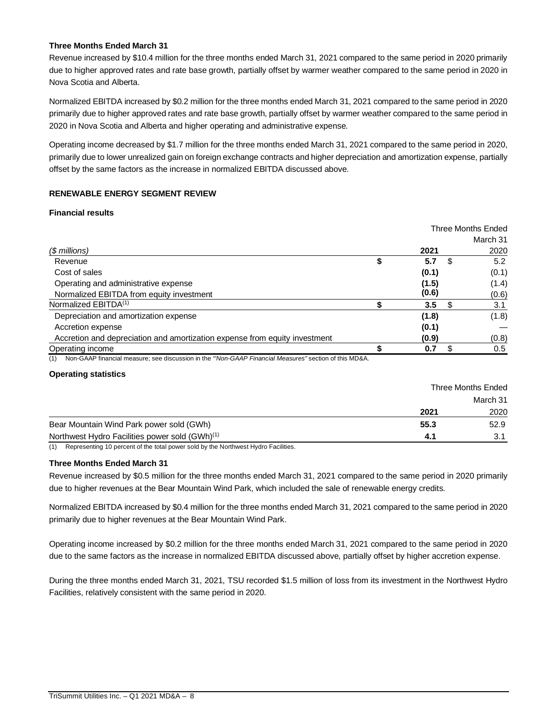## **Three Months Ended March 31**

Revenue increased by \$10.4 million for the three months ended March 31, 2021 compared to the same period in 2020 primarily due to higher approved rates and rate base growth, partially offset by warmer weather compared to the same period in 2020 in Nova Scotia and Alberta.

Normalized EBITDA increased by \$0.2 million for the three months ended March 31, 2021 compared to the same period in 2020 primarily due to higher approved rates and rate base growth, partially offset by warmer weather compared to the same period in 2020 in Nova Scotia and Alberta and higher operating and administrative expense.

Operating income decreased by \$1.7 million for the three months ended March 31, 2021 compared to the same period in 2020, primarily due to lower unrealized gain on foreign exchange contracts and higher depreciation and amortization expense, partially offset by the same factors as the increase in normalized EBITDA discussed above.

## **RENEWABLE ENERGY SEGMENT REVIEW**

## **Financial results**

|                                                                                                             | Three Months Ended |    |          |
|-------------------------------------------------------------------------------------------------------------|--------------------|----|----------|
|                                                                                                             |                    |    | March 31 |
| $$$ millions)                                                                                               | 2021               |    | 2020     |
| Revenue                                                                                                     | 5.7                | S. | 5.2      |
| Cost of sales                                                                                               | (0.1)              |    | (0.1)    |
| Operating and administrative expense                                                                        | (1.5)              |    | (1.4)    |
| Normalized EBITDA from equity investment                                                                    | (0.6)              |    | (0.6)    |
| Normalized EBITDA <sup>(1)</sup>                                                                            | 3.5                | æ. | 3.1      |
| Depreciation and amortization expense                                                                       | (1.8)              |    | (1.8)    |
| Accretion expense                                                                                           | (0.1)              |    |          |
| Accretion and depreciation and amortization expense from equity investment                                  | (0.9)              |    | (0.8)    |
| Operating income                                                                                            | 0.7                |    | 0.5      |
| Non-CAAP financial measure: see discussion in the "Non-CAAP Financial Measures" section of this MD&A<br>(1) |                    |    |          |

sure; see discussion in the "'Non-GAAP Finar

#### **Operating statistics**

|                                                            | Three Months Ended |      |  |
|------------------------------------------------------------|--------------------|------|--|
|                                                            | March 31           |      |  |
|                                                            | 2021               | 2020 |  |
| Bear Mountain Wind Park power sold (GWh)                   | 55.3               | 52.9 |  |
| Northwest Hydro Facilities power sold (GWh) <sup>(1)</sup> | 4.1                | 3.1  |  |

(1) Representing 10 percent of the total power sold by the Northwest Hydro Facilities.

#### **Three Months Ended March 31**

Revenue increased by \$0.5 million for the three months ended March 31, 2021 compared to the same period in 2020 primarily due to higher revenues at the Bear Mountain Wind Park, which included the sale of renewable energy credits.

Normalized EBITDA increased by \$0.4 million for the three months ended March 31, 2021 compared to the same period in 2020 primarily due to higher revenues at the Bear Mountain Wind Park.

Operating income increased by \$0.2 million for the three months ended March 31, 2021 compared to the same period in 2020 due to the same factors as the increase in normalized EBITDA discussed above, partially offset by higher accretion expense.

During the three months ended March 31, 2021, TSU recorded \$1.5 million of loss from its investment in the Northwest Hydro Facilities, relatively consistent with the same period in 2020.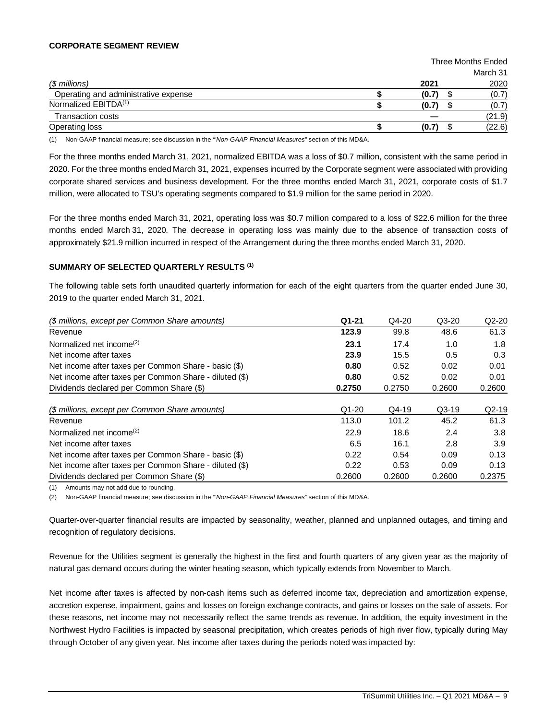#### **CORPORATE SEGMENT REVIEW**

|                                      | <b>Three Months Ended</b> |       |  |          |
|--------------------------------------|---------------------------|-------|--|----------|
|                                      |                           |       |  | March 31 |
| $$$ millions)                        |                           | 2021  |  | 2020     |
| Operating and administrative expense |                           | (0.7) |  | (0.7)    |
| Normalized EBITDA <sup>(1)</sup>     |                           | (0.7) |  | (0.7)    |
| <b>Transaction costs</b>             |                           |       |  | (21.9)   |
| Operating loss                       |                           | (0.7) |  | (22.6)   |

(1) Non-GAAP financial measure; see discussion in the *"'Non-GAAP Financial Measures"* section of this MD&A.

For the three months ended March 31, 2021, normalized EBITDA was a loss of \$0.7 million, consistent with the same period in 2020. For the three months ended March 31, 2021, expenses incurred by the Corporate segment were associated with providing corporate shared services and business development. For the three months ended March 31, 2021, corporate costs of \$1.7 million, were allocated to TSU's operating segments compared to \$1.9 million for the same period in 2020.

For the three months ended March 31, 2021, operating loss was \$0.7 million compared to a loss of \$22.6 million for the three months ended March 31, 2020. The decrease in operating loss was mainly due to the absence of transaction costs of approximately \$21.9 million incurred in respect of the Arrangement during the three months ended March 31, 2020.

#### **SUMMARY OF SELECTED QUARTERLY RESULTS (1)**

The following table sets forth unaudited quarterly information for each of the eight quarters from the quarter ended June 30, 2019 to the quarter ended March 31, 2021.

| (\$ millions, except per Common Share amounts)         | $Q1 - 21$ | Q4-20    | $Q3-20$ | $Q2-20$ |
|--------------------------------------------------------|-----------|----------|---------|---------|
| Revenue                                                | 123.9     | 99.8     | 48.6    | 61.3    |
| Normalized net income <sup>(2)</sup>                   | 23.1      | 17.4     | 1.0     | 1.8     |
| Net income after taxes                                 | 23.9      | 15.5     | 0.5     | 0.3     |
| Net income after taxes per Common Share - basic (\$)   | 0.80      | 0.52     | 0.02    | 0.01    |
| Net income after taxes per Common Share - diluted (\$) | 0.80      | 0.52     | 0.02    | 0.01    |
| Dividends declared per Common Share (\$)               | 0.2750    | 0.2750   | 0.2600  | 0.2600  |
| (\$ millions, except per Common Share amounts)         | $Q1 - 20$ | $Q$ 4-19 | $Q3-19$ | $Q2-19$ |
| Revenue                                                | 113.0     | 101.2    | 45.2    | 61.3    |
| Normalized net income <sup>(2)</sup>                   | 22.9      | 18.6     | 2.4     | 3.8     |
| Net income after taxes                                 | 6.5       | 16.1     | 2.8     | 3.9     |
| Net income after taxes per Common Share - basic (\$)   | 0.22      | 0.54     | 0.09    | 0.13    |
| Net income after taxes per Common Share - diluted (\$) | 0.22      | 0.53     | 0.09    | 0.13    |
| Dividends declared per Common Share (\$)               | 0.2600    | 0.2600   | 0.2600  | 0.2375  |

(1) Amounts may not add due to rounding.

(2) Non-GAAP financial measure; see discussion in the *"'Non-GAAP Financial Measures"* section of this MD&A.

Quarter-over-quarter financial results are impacted by seasonality, weather, planned and unplanned outages, and timing and recognition of regulatory decisions.

Revenue for the Utilities segment is generally the highest in the first and fourth quarters of any given year as the majority of natural gas demand occurs during the winter heating season, which typically extends from November to March.

Net income after taxes is affected by non-cash items such as deferred income tax, depreciation and amortization expense, accretion expense, impairment, gains and losses on foreign exchange contracts, and gains or losses on the sale of assets. For these reasons, net income may not necessarily reflect the same trends as revenue. In addition, the equity investment in the Northwest Hydro Facilities is impacted by seasonal precipitation, which creates periods of high river flow, typically during May through October of any given year. Net income after taxes during the periods noted was impacted by: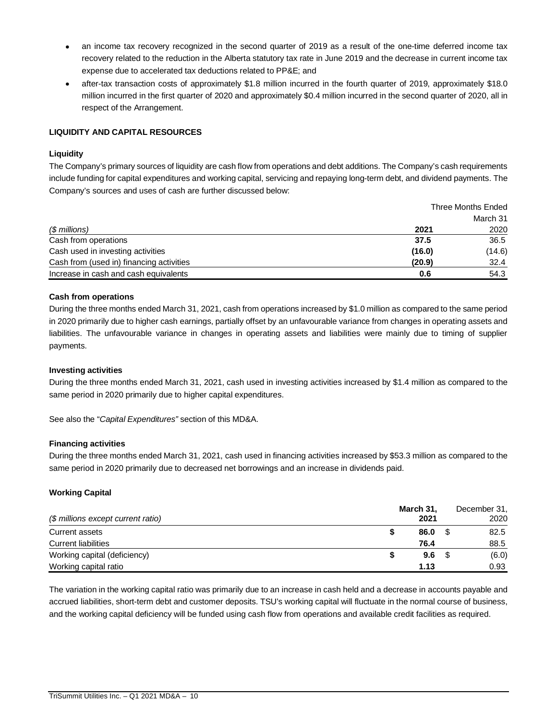- an income tax recovery recognized in the second quarter of 2019 as a result of the one-time deferred income tax recovery related to the reduction in the Alberta statutory tax rate in June 2019 and the decrease in current income tax expense due to accelerated tax deductions related to PP&E; and
- after-tax transaction costs of approximately \$1.8 million incurred in the fourth quarter of 2019, approximately \$18.0 million incurred in the first quarter of 2020 and approximately \$0.4 million incurred in the second quarter of 2020, all in respect of the Arrangement.

# **LIQUIDITY AND CAPITAL RESOURCES**

## **Liquidity**

The Company's primary sources of liquidity are cash flow from operations and debt additions. The Company's cash requirements include funding for capital expenditures and working capital, servicing and repaying long-term debt, and dividend payments. The Company's sources and uses of cash are further discussed below:

|                                          | <b>Three Months Ended</b> |          |
|------------------------------------------|---------------------------|----------|
|                                          |                           | March 31 |
| (\$ millions)                            | 2021                      | 2020     |
| Cash from operations                     | 37.5                      | 36.5     |
| Cash used in investing activities        | (16.0)                    | (14.6)   |
| Cash from (used in) financing activities | (20.9)                    | 32.4     |
| Increase in cash and cash equivalents    | 0.6                       | 54.3     |

# **Cash from operations**

During the three months ended March 31, 2021, cash from operations increased by \$1.0 million as compared to the same period in 2020 primarily due to higher cash earnings, partially offset by an unfavourable variance from changes in operating assets and liabilities. The unfavourable variance in changes in operating assets and liabilities were mainly due to timing of supplier payments.

## **Investing activities**

During the three months ended March 31, 2021, cash used in investing activities increased by \$1.4 million as compared to the same period in 2020 primarily due to higher capital expenditures.

See also the "*Capital Expenditures"* section of this MD&A.

## **Financing activities**

During the three months ended March 31, 2021, cash used in financing activities increased by \$53.3 million as compared to the same period in 2020 primarily due to decreased net borrowings and an increase in dividends paid.

# **Working Capital**

| (\$ millions except current ratio) | March 31,<br>2021 | December 31,<br>2020 |
|------------------------------------|-------------------|----------------------|
| Current assets                     | 86.0              | 82.5                 |
| <b>Current liabilities</b>         | 76.4              | 88.5                 |
| Working capital (deficiency)       | 9.6               | (6.0)                |
| Working capital ratio              | 1.13              | 0.93                 |

The variation in the working capital ratio was primarily due to an increase in cash held and a decrease in accounts payable and accrued liabilities, short-term debt and customer deposits. TSU's working capital will fluctuate in the normal course of business, and the working capital deficiency will be funded using cash flow from operations and available credit facilities as required.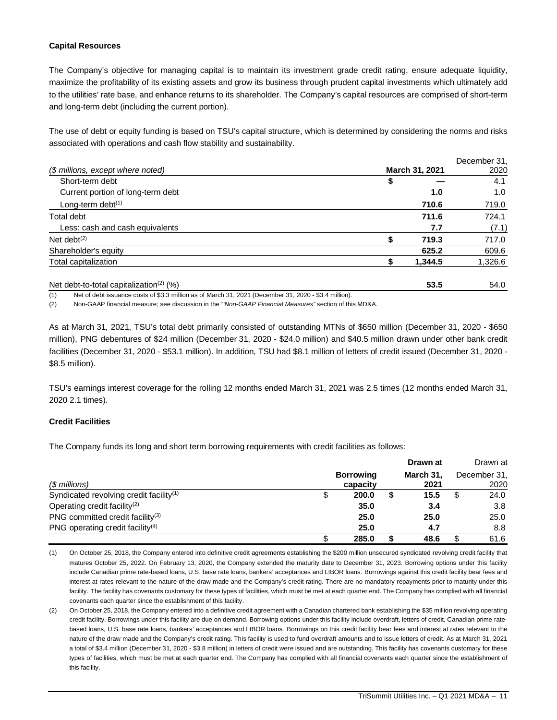#### **Capital Resources**

The Company's objective for managing capital is to maintain its investment grade credit rating, ensure adequate liquidity, maximize the profitability of its existing assets and grow its business through prudent capital investments which ultimately add to the utilities' rate base, and enhance returns to its shareholder. The Company's capital resources are comprised of short-term and long-term debt (including the current portion).

The use of debt or equity funding is based on TSU's capital structure, which is determined by considering the norms and risks associated with operations and cash flow stability and sustainability.

|                                                     |                | December 31. |
|-----------------------------------------------------|----------------|--------------|
| (\$ millions, except where noted)                   | March 31, 2021 | 2020         |
| Short-term debt                                     | \$             | 4.1          |
| Current portion of long-term debt                   | 1.0            | 1.0          |
| Long-term debt $(1)$                                | 710.6          | 719.0        |
| Total debt                                          | 711.6          | 724.1        |
| Less: cash and cash equivalents                     | 7.7            | (7.1)        |
| Net debt $(2)$                                      | 719.3          | 717.0        |
| Shareholder's equity                                | 625.2          | 609.6        |
| Total capitalization                                | 1,344.5        | 1,326.6      |
| Net debt-to-total capitalization <sup>(2)</sup> (%) | 53.5           | 54.0         |

(1) Net of debt issuance costs of \$3.3 million as of March 31, 2021 (December 31, 2020 - \$3.4 million).

(2) Non-GAAP financial measure; see discussion in the *"'Non-GAAP Financial Measures"* section of this MD&A.

As at March 31, 2021, TSU's total debt primarily consisted of outstanding MTNs of \$650 million (December 31, 2020 - \$650 million), PNG debentures of \$24 million (December 31, 2020 - \$24.0 million) and \$40.5 million drawn under other bank credit facilities (December 31, 2020 - \$53.1 million). In addition, TSU had \$8.1 million of letters of credit issued (December 31, 2020 - \$8.5 million).

TSU's earnings interest coverage for the rolling 12 months ended March 31, 2021 was 2.5 times (12 months ended March 31, 2020 2.1 times).

#### **Credit Facilities**

The Company funds its long and short term borrowing requirements with credit facilities as follows:

|                                                     |                              | Drawn at          |   | Drawn at             |
|-----------------------------------------------------|------------------------------|-------------------|---|----------------------|
| (\$ millions)                                       | <b>Borrowing</b><br>capacity | March 31.<br>2021 |   | December 31,<br>2020 |
| Syndicated revolving credit facility <sup>(1)</sup> | 200.0                        | 15.5              | S | 24.0                 |
| Operating credit facility <sup>(2)</sup>            | 35.0                         | 3.4               |   | 3.8                  |
| PNG committed credit facility <sup>(3)</sup>        | 25.0                         | 25.0              |   | 25.0                 |
| PNG operating credit facility <sup>(4)</sup>        | 25.0                         | 4.7               |   | 8.8                  |
|                                                     | 285.0                        | 48.6              |   | 61.6                 |

(1) On October 25, 2018, the Company entered into definitive credit agreements establishing the \$200 million unsecured syndicated revolving credit facility that matures October 25, 2022. On February 13, 2020, the Company extended the maturity date to December 31, 2023. Borrowing options under this facility include Canadian prime rate-based loans, U.S. base rate loans, bankers' acceptances and LIBOR loans. Borrowings against this credit facility bear fees and interest at rates relevant to the nature of the draw made and the Company's credit rating. There are no mandatory repayments prior to maturity under this facility. The facility has covenants customary for these types of facilities, which must be met at each quarter end. The Company has complied with all financial covenants each quarter since the establishment of this facility.

(2) On October 25, 2018, the Company entered into a definitive credit agreement with a Canadian chartered bank establishing the \$35 million revolving operating credit facility. Borrowings under this facility are due on demand. Borrowing options under this facility include overdraft, letters of credit, Canadian prime ratebased loans, U.S. base rate loans, bankers' acceptances and LIBOR loans. Borrowings on this credit facility bear fees and interest at rates relevant to the nature of the draw made and the Company's credit rating. This facility is used to fund overdraft amounts and to issue letters of credit. As at March 31, 2021 a total of \$3.4 million (December 31, 2020 - \$3.8 million) in letters of credit were issued and are outstanding. This facility has covenants customary for these types of facilities, which must be met at each quarter end. The Company has complied with all financial covenants each quarter since the establishment of this facility.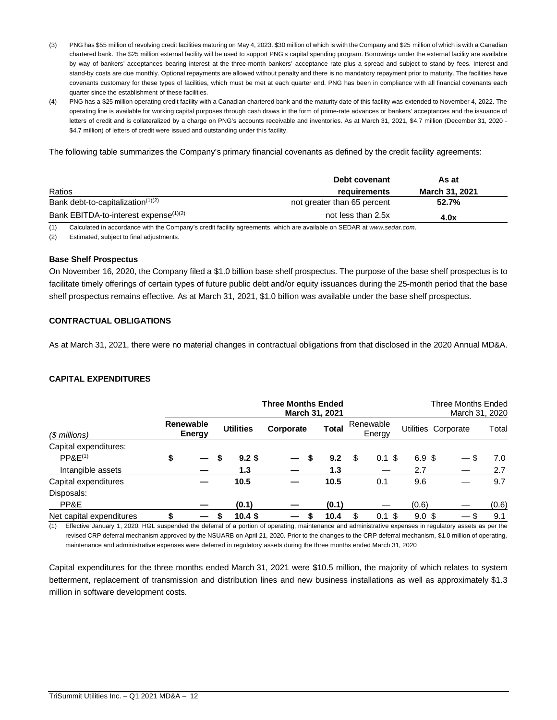- (3) PNG has \$55 million of revolving credit facilities maturing on May 4, 2023. \$30 million of which is with the Company and \$25 million of which is with a Canadian chartered bank. The \$25 million external facility will be used to support PNG's capital spending program. Borrowings under the external facility are available by way of bankers' acceptances bearing interest at the three-month bankers' acceptance rate plus a spread and subject to stand-by fees. Interest and stand-by costs are due monthly. Optional repayments are allowed without penalty and there is no mandatory repayment prior to maturity. The facilities have covenants customary for these types of facilities, which must be met at each quarter end. PNG has been in compliance with all financial covenants each quarter since the establishment of these facilities.
- (4) PNG has a \$25 million operating credit facility with a Canadian chartered bank and the maturity date of this facility was extended to November 4, 2022. The operating line is available for working capital purposes through cash draws in the form of prime-rate advances or bankers' acceptances and the issuance of letters of credit and is collateralized by a charge on PNG's accounts receivable and inventories. As at March 31, 2021, \$4.7 million (December 31, 2020 -\$4.7 million) of letters of credit were issued and outstanding under this facility.

The following table summarizes the Company's primary financial covenants as defined by the credit facility agreements:

|                                                   | Debt covenant               | As at                 |
|---------------------------------------------------|-----------------------------|-----------------------|
| Ratios                                            | requirements                | <b>March 31, 2021</b> |
| Bank debt-to-capitalization <sup>(1)(2)</sup>     | not greater than 65 percent | 52.7%                 |
| Bank EBITDA-to-interest expense <sup>(1)(2)</sup> | not less than 2.5x          | 4.0x                  |

(1) Calculated in accordance with the Company's credit facility agreements, which are available on SEDAR at *www.sedar.com*.

(2) Estimated, subject to final adjustments.

#### **Base Shelf Prospectus**

On November 16, 2020, the Company filed a \$1.0 billion base shelf prospectus. The purpose of the base shelf prospectus is to facilitate timely offerings of certain types of future public debt and/or equity issuances during the 25-month period that the base shelf prospectus remains effective. As at March 31, 2021, \$1.0 billion was available under the base shelf prospectus.

#### **CONTRACTUAL OBLIGATIONS**

As at March 31, 2021, there were no material changes in contractual obligations from that disclosed in the 2020 Annual MD&A.

#### **CAPITAL EXPENDITURES**

|                          |                            |                  | <b>Three Months Ended</b><br>March 31, 2021 |       |    |                     |                  | Three Months Ended<br>March 31, 2020 |       |
|--------------------------|----------------------------|------------------|---------------------------------------------|-------|----|---------------------|------------------|--------------------------------------|-------|
| $$$ millions)            | <b>Renewable</b><br>Energy | <b>Utilities</b> | Corporate                                   | Total |    | Renewable<br>Energy |                  | Utilities Corporate                  | Total |
| Capital expenditures:    |                            |                  |                                             |       |    |                     |                  |                                      |       |
| PPAE <sup>(1)</sup>      | \$                         | $9.2$ \$         | S                                           | 9.2   | S  | $0.1$ \$            | 6.9 <sup>5</sup> |                                      | 7.0   |
| Intangible assets        |                            | 1.3              |                                             | 1.3   |    |                     | 2.7              |                                      | 2.7   |
| Capital expenditures     |                            | 10.5             |                                             | 10.5  |    | 0.1                 | 9.6              |                                      | 9.7   |
| Disposals:               |                            |                  |                                             |       |    |                     |                  |                                      |       |
| PP&E                     |                            | (0.1)            |                                             | (0.1) |    |                     | (0.6)            |                                      | (0.6) |
| Net capital expenditures |                            | $10.4$ \$        |                                             | 10.4  | \$ | $0.1$ \$            | 9.0 <sup>5</sup> |                                      | 9.1   |

**— —** (1) Effective January 1, 2020, HGL suspended the deferral of a portion of operating, maintenance and administrative expenses in regulatory assets as per the revised CRP deferral mechanism approved by the NSUARB on April 21, 2020. Prior to the changes to the CRP deferral mechanism, \$1.0 million of operating, maintenance and administrative expenses were deferred in regulatory assets during the three months ended March 31, 2020

Capital expenditures for the three months ended March 31, 2021 were \$10.5 million, the majority of which relates to system betterment, replacement of transmission and distribution lines and new business installations as well as approximately \$1.3 million in software development costs.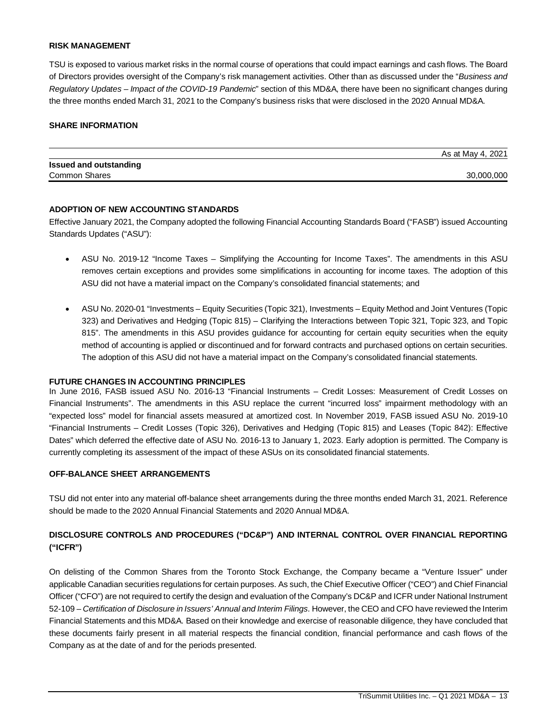#### **RISK MANAGEMENT**

TSU is exposed to various market risks in the normal course of operations that could impact earnings and cash flows. The Board of Directors provides oversight of the Company's risk management activities. Other than as discussed under the "*Business and Regulatory Updates – Impact of the COVID-19 Pandemic*" section of this MD&A, there have been no significant changes during the three months ended March 31, 2021 to the Company's business risks that were disclosed in the 2020 Annual MD&A.

#### **SHARE INFORMATION**

|                               | As at May 4, 2021 |
|-------------------------------|-------------------|
| <b>Issued and outstanding</b> |                   |
| Common Shares                 | 30,000,000        |

#### **ADOPTION OF NEW ACCOUNTING STANDARDS**

Effective January 2021, the Company adopted the following Financial Accounting Standards Board ("FASB") issued Accounting Standards Updates ("ASU"):

- ASU No. 2019-12 "Income Taxes Simplifying the Accounting for Income Taxes". The amendments in this ASU removes certain exceptions and provides some simplifications in accounting for income taxes. The adoption of this ASU did not have a material impact on the Company's consolidated financial statements; and
- ASU No. 2020-01 "Investments Equity Securities (Topic 321), Investments Equity Method and Joint Ventures (Topic 323) and Derivatives and Hedging (Topic 815) – Clarifying the Interactions between Topic 321, Topic 323, and Topic 815". The amendments in this ASU provides guidance for accounting for certain equity securities when the equity method of accounting is applied or discontinued and for forward contracts and purchased options on certain securities. The adoption of this ASU did not have a material impact on the Company's consolidated financial statements.

#### **FUTURE CHANGES IN ACCOUNTING PRINCIPLES**

In June 2016, FASB issued ASU No. 2016-13 "Financial Instruments – Credit Losses: Measurement of Credit Losses on Financial Instruments". The amendments in this ASU replace the current "incurred loss" impairment methodology with an "expected loss" model for financial assets measured at amortized cost. In November 2019, FASB issued ASU No. 2019-10 "Financial Instruments – Credit Losses (Topic 326), Derivatives and Hedging (Topic 815) and Leases (Topic 842): Effective Dates" which deferred the effective date of ASU No. 2016-13 to January 1, 2023. Early adoption is permitted. The Company is currently completing its assessment of the impact of these ASUs on its consolidated financial statements.

#### **OFF-BALANCE SHEET ARRANGEMENTS**

TSU did not enter into any material off-balance sheet arrangements during the three months ended March 31, 2021. Reference should be made to the 2020 Annual Financial Statements and 2020 Annual MD&A.

# **DISCLOSURE CONTROLS AND PROCEDURES ("DC&P") AND INTERNAL CONTROL OVER FINANCIAL REPORTING ("ICFR")**

On delisting of the Common Shares from the Toronto Stock Exchange, the Company became a "Venture Issuer" under applicable Canadian securities regulations for certain purposes. As such, the Chief Executive Officer ("CEO") and Chief Financial Officer ("CFO") are not required to certify the design and evaluation of the Company's DC&P and ICFR under National Instrument 52-109 – *Certification of Disclosure in Issuers' Annual and Interim Filings*. However, the CEO and CFO have reviewed the Interim Financial Statements and this MD&A. Based on their knowledge and exercise of reasonable diligence, they have concluded that these documents fairly present in all material respects the financial condition, financial performance and cash flows of the Company as at the date of and for the periods presented.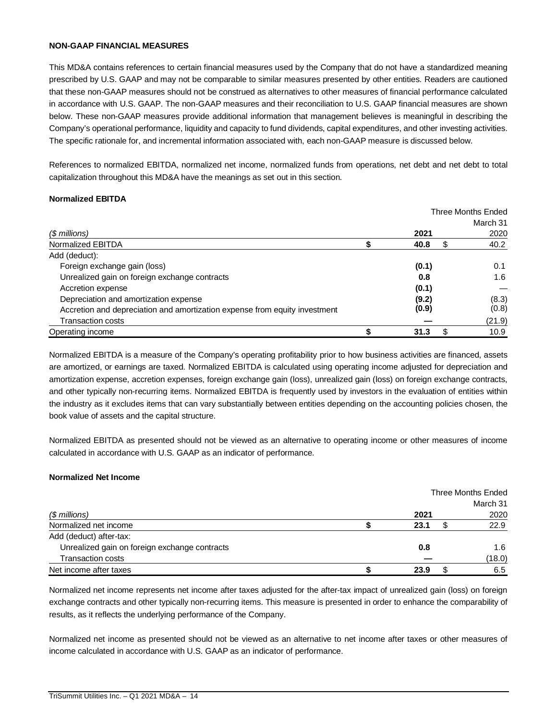#### **NON-GAAP FINANCIAL MEASURES**

This MD&A contains references to certain financial measures used by the Company that do not have a standardized meaning prescribed by U.S. GAAP and may not be comparable to similar measures presented by other entities. Readers are cautioned that these non-GAAP measures should not be construed as alternatives to other measures of financial performance calculated in accordance with U.S. GAAP. The non-GAAP measures and their reconciliation to U.S. GAAP financial measures are shown below. These non-GAAP measures provide additional information that management believes is meaningful in describing the Company's operational performance, liquidity and capacity to fund dividends, capital expenditures, and other investing activities. The specific rationale for, and incremental information associated with, each non-GAAP measure is discussed below.

References to normalized EBITDA, normalized net income, normalized funds from operations, net debt and net debt to total capitalization throughout this MD&A have the meanings as set out in this section.

#### **Normalized EBITDA**

|                                                                            |       |   | <b>Three Months Ended</b> |
|----------------------------------------------------------------------------|-------|---|---------------------------|
|                                                                            |       |   | March 31                  |
| (\$ millions)                                                              | 2021  |   | 2020                      |
| Normalized EBITDA                                                          | 40.8  | S | 40.2                      |
| Add (deduct):                                                              |       |   |                           |
| Foreign exchange gain (loss)                                               | (0.1) |   | 0.1                       |
| Unrealized gain on foreign exchange contracts                              | 0.8   |   | 1.6                       |
| Accretion expense                                                          | (0.1) |   |                           |
| Depreciation and amortization expense                                      | (9.2) |   | (8.3)                     |
| Accretion and depreciation and amortization expense from equity investment | (0.9) |   | (0.8)                     |
| <b>Transaction costs</b>                                                   |       |   | (21.9)                    |
| Operating income                                                           | 31.3  |   | 10.9                      |

Normalized EBITDA is a measure of the Company's operating profitability prior to how business activities are financed, assets are amortized, or earnings are taxed. Normalized EBITDA is calculated using operating income adjusted for depreciation and amortization expense, accretion expenses, foreign exchange gain (loss), unrealized gain (loss) on foreign exchange contracts, and other typically non-recurring items. Normalized EBITDA is frequently used by investors in the evaluation of entities within the industry as it excludes items that can vary substantially between entities depending on the accounting policies chosen, the book value of assets and the capital structure.

Normalized EBITDA as presented should not be viewed as an alternative to operating income or other measures of income calculated in accordance with U.S. GAAP as an indicator of performance.

#### **Normalized Net Income**

|                                               | Three Months Ended |  |          |  |
|-----------------------------------------------|--------------------|--|----------|--|
|                                               |                    |  | March 31 |  |
| $$$ millions)                                 | 2021               |  | 2020     |  |
| Normalized net income                         | 23.1               |  | 22.9     |  |
| Add (deduct) after-tax:                       |                    |  |          |  |
| Unrealized gain on foreign exchange contracts | 0.8                |  | 1.6      |  |
| <b>Transaction costs</b>                      |                    |  | (18.0)   |  |
| Net income after taxes                        | 23.9               |  | 6.5      |  |

Normalized net income represents net income after taxes adjusted for the after-tax impact of unrealized gain (loss) on foreign exchange contracts and other typically non-recurring items. This measure is presented in order to enhance the comparability of results, as it reflects the underlying performance of the Company.

Normalized net income as presented should not be viewed as an alternative to net income after taxes or other measures of income calculated in accordance with U.S. GAAP as an indicator of performance.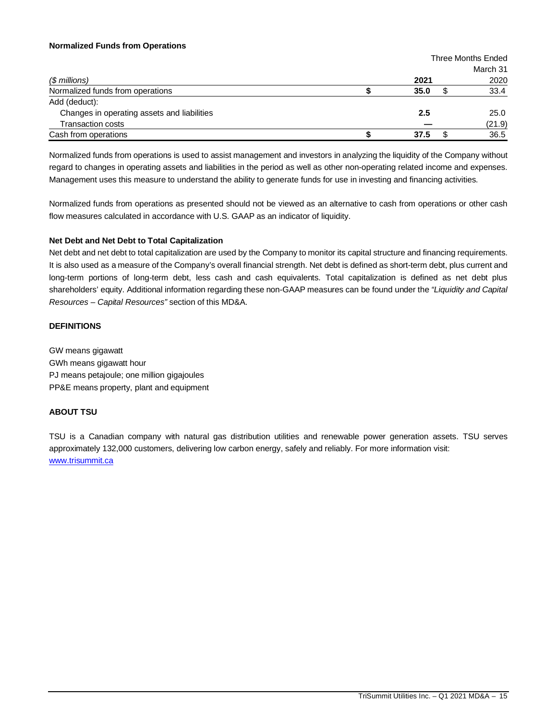#### **Normalized Funds from Operations**

|                                             |      | Three Months Ended |
|---------------------------------------------|------|--------------------|
|                                             |      | March 31           |
| $$$ millions)                               | 2021 | 2020               |
| Normalized funds from operations            | 35.0 | 33.4               |
| Add (deduct):                               |      |                    |
| Changes in operating assets and liabilities | 2.5  | 25.0               |
| <b>Transaction costs</b>                    |      | (21.9)             |
| Cash from operations                        | 37.5 | 36.5               |

Normalized funds from operations is used to assist management and investors in analyzing the liquidity of the Company without regard to changes in operating assets and liabilities in the period as well as other non-operating related income and expenses. Management uses this measure to understand the ability to generate funds for use in investing and financing activities.

Normalized funds from operations as presented should not be viewed as an alternative to cash from operations or other cash flow measures calculated in accordance with U.S. GAAP as an indicator of liquidity.

#### **Net Debt and Net Debt to Total Capitalization**

Net debt and net debt to total capitalization are used by the Company to monitor its capital structure and financing requirements. It is also used as a measure of the Company's overall financial strength. Net debt is defined as short-term debt, plus current and long-term portions of long-term debt, less cash and cash equivalents. Total capitalization is defined as net debt plus shareholders' equity. Additional information regarding these non-GAAP measures can be found under the *"Liquidity and Capital Resources – Capital Resources"* section of this MD&A.

## **DEFINITIONS**

GW means gigawatt GWh means gigawatt hour PJ means petajoule; one million gigajoules PP&E means property, plant and equipment

## **ABOUT TSU**

TSU is a Canadian company with natural gas distribution utilities and renewable power generation assets. TSU serves approximately 132,000 customers, delivering low carbon energy, safely and reliably. For more information visit: www.trisummit.ca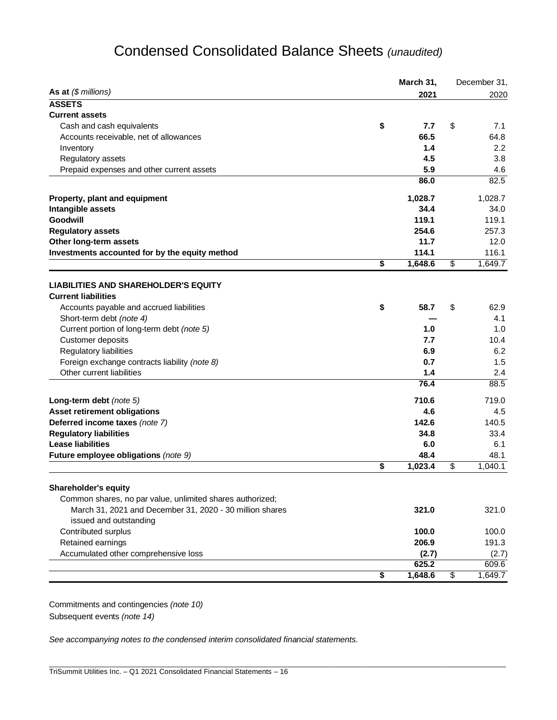# Condensed Consolidated Balance Sheets *(unaudited)*

|                                                                           | March 31,      | December 31,  |
|---------------------------------------------------------------------------|----------------|---------------|
| As at $(\$$ millions)                                                     | 2021           | 2020          |
| <b>ASSETS</b>                                                             |                |               |
| <b>Current assets</b>                                                     |                |               |
| Cash and cash equivalents                                                 | \$<br>7.7      | \$<br>7.1     |
| Accounts receivable, net of allowances                                    | 66.5           | 64.8          |
| Inventory                                                                 | 1.4            | 2.2           |
| Regulatory assets                                                         | 4.5            | 3.8           |
| Prepaid expenses and other current assets                                 | 5.9            | 4.6           |
|                                                                           | 86.0           | 82.5          |
| Property, plant and equipment                                             | 1,028.7        | 1,028.7       |
| Intangible assets                                                         | 34.4           | 34.0          |
| <b>Goodwill</b>                                                           | 119.1          | 119.1         |
| <b>Regulatory assets</b>                                                  | 254.6          | 257.3         |
| Other long-term assets                                                    | 11.7           | 12.0          |
| Investments accounted for by the equity method                            | 114.1          | 116.1         |
|                                                                           | \$<br>1,648.6  | \$<br>1,649.7 |
|                                                                           |                |               |
| <b>LIABILITIES AND SHAREHOLDER'S EQUITY</b><br><b>Current liabilities</b> |                |               |
|                                                                           | \$<br>58.7     | \$<br>62.9    |
| Accounts payable and accrued liabilities                                  |                | 4.1           |
| Short-term debt (note 4)                                                  |                |               |
| Current portion of long-term debt (note 5)                                | 1.0            | 1.0           |
| Customer deposits                                                         | 7.7            | 10.4          |
| Regulatory liabilities                                                    | 6.9            | 6.2           |
| Foreign exchange contracts liability (note 8)                             | 0.7            | 1.5           |
| Other current liabilities                                                 | 1.4<br>76.4    | 2.4           |
|                                                                           |                | 88.5          |
| Long-term debt (note 5)                                                   | 710.6          | 719.0         |
| Asset retirement obligations                                              | 4.6            | 4.5           |
| Deferred income taxes (note 7)                                            | 142.6          | 140.5         |
| <b>Regulatory liabilities</b>                                             | 34.8           | 33.4          |
| <b>Lease liabilities</b>                                                  | 6.0            | 6.1           |
| Future employee obligations (note 9)                                      | 48.4           | 48.1          |
|                                                                           | \$<br>1,023.4  | \$<br>1,040.1 |
| <b>Shareholder's equity</b>                                               |                |               |
| Common shares, no par value, unlimited shares authorized;                 |                |               |
| March 31, 2021 and December 31, 2020 - 30 million shares                  | 321.0          | 321.0         |
| issued and outstanding                                                    |                |               |
|                                                                           |                |               |
| Contributed surplus                                                       | 100.0          | 100.0         |
| Retained earnings                                                         | 206.9          | 191.3         |
| Accumulated other comprehensive loss                                      | (2.7)<br>625.2 | (2.7)         |
|                                                                           |                | \$<br>609.6   |
|                                                                           | \$<br>1,648.6  | 1,649.7       |

\_\_\_\_\_\_\_\_\_\_\_\_\_\_\_\_\_\_\_\_\_\_\_\_\_\_\_\_\_\_\_\_\_\_\_\_\_\_\_\_\_\_\_\_\_\_\_\_\_\_\_\_\_\_\_\_\_\_\_\_\_\_\_\_\_\_\_\_\_\_\_\_\_\_\_\_\_\_\_\_\_\_\_\_\_\_\_\_\_\_\_\_\_\_\_\_\_\_\_\_\_\_\_\_\_\_\_\_\_\_\_\_\_

Commitments and contingencies *(note 10)* Subsequent events *(note 14)*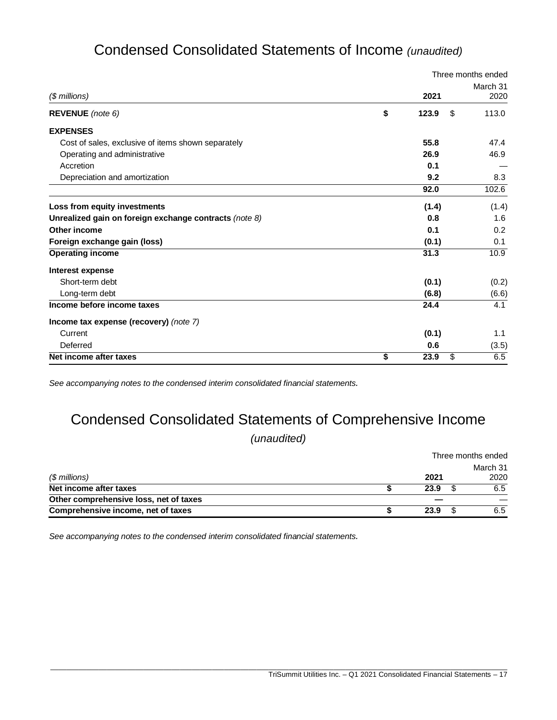# Condensed Consolidated Statements of Income *(unaudited)*

|                                                        |             | Three months ended |
|--------------------------------------------------------|-------------|--------------------|
|                                                        |             | March 31           |
| $$$ millions)                                          | 2021        | 2020               |
| <b>REVENUE</b> (note 6)                                | \$<br>123.9 | \$<br>113.0        |
| <b>EXPENSES</b>                                        |             |                    |
| Cost of sales, exclusive of items shown separately     | 55.8        | 47.4               |
| Operating and administrative                           | 26.9        | 46.9               |
| Accretion                                              | 0.1         |                    |
| Depreciation and amortization                          | 9.2         | 8.3                |
|                                                        | 92.0        | 102.6              |
| Loss from equity investments                           | (1.4)       | (1.4)              |
| Unrealized gain on foreign exchange contracts (note 8) | 0.8         | 1.6                |
| Other income                                           | 0.1         | 0.2                |
| Foreign exchange gain (loss)                           | (0.1)       | 0.1                |
| <b>Operating income</b>                                | 31.3        | 10.9               |
| Interest expense                                       |             |                    |
| Short-term debt                                        | (0.1)       | (0.2)              |
| Long-term debt                                         | (6.8)       | (6.6)              |
| Income before income taxes                             | 24.4        | 4.1                |
| Income tax expense (recovery) (note 7)                 |             |                    |
| Current                                                | (0.1)       | 1.1                |
| Deferred                                               | 0.6         | (3.5)              |
| Net income after taxes                                 | \$<br>23.9  | \$<br>6.5          |

*See accompanying notes to the condensed interim consolidated financial statements.*

# Condensed Consolidated Statements of Comprehensive Income

*(unaudited)*

|                                        | Three months ended |  |                  |  |
|----------------------------------------|--------------------|--|------------------|--|
| (\$ millions)                          | 2021               |  | March 31<br>2020 |  |
| Net income after taxes                 | 23.9               |  | 6.5              |  |
| Other comprehensive loss, net of taxes |                    |  |                  |  |
| Comprehensive income, net of taxes     | 23.9               |  | 6.5              |  |

\_\_\_\_\_\_\_\_\_\_\_\_\_\_\_\_\_\_\_\_\_\_\_\_\_\_\_\_\_\_\_\_\_\_\_\_\_\_\_\_\_\_\_\_\_\_\_\_\_\_\_\_\_\_\_\_\_\_\_\_\_\_\_\_\_\_\_\_\_\_\_\_\_\_\_\_\_\_\_\_\_\_\_\_\_\_\_\_\_\_\_\_\_\_\_\_\_\_\_\_\_\_\_\_\_\_\_\_\_\_\_\_\_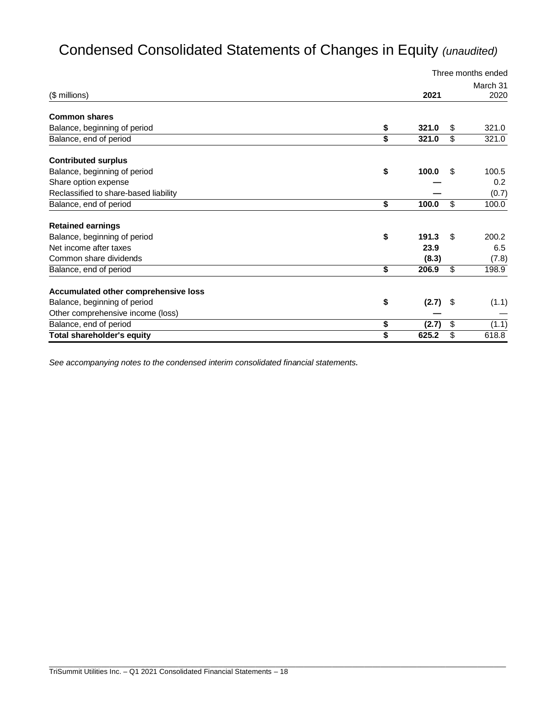# Condensed Consolidated Statements of Changes in Equity *(unaudited)*

|                                       |             |                          | Three months ended |
|---------------------------------------|-------------|--------------------------|--------------------|
|                                       |             |                          | March 31           |
| (\$ millions)                         | 2021        |                          | 2020               |
| <b>Common shares</b>                  |             |                          |                    |
| Balance, beginning of period          | \$<br>321.0 | \$                       | 321.0              |
| Balance, end of period                | \$<br>321.0 | \$                       | 321.0              |
| <b>Contributed surplus</b>            |             |                          |                    |
| Balance, beginning of period          | \$<br>100.0 | \$                       | 100.5              |
| Share option expense                  |             |                          | 0.2                |
| Reclassified to share-based liability |             |                          | (0.7)              |
| Balance, end of period                | \$<br>100.0 | \$                       | 100.0              |
| <b>Retained earnings</b>              |             |                          |                    |
| Balance, beginning of period          | \$<br>191.3 | \$                       | 200.2              |
| Net income after taxes                | 23.9        |                          | 6.5                |
| Common share dividends                | (8.3)       |                          | (7.8)              |
| Balance, end of period                | \$<br>206.9 | \$                       | 198.9              |
| Accumulated other comprehensive loss  |             |                          |                    |
| Balance, beginning of period          | \$<br>(2.7) | \$                       | (1.1)              |
| Other comprehensive income (loss)     |             |                          |                    |
| Balance, end of period                | \$<br>(2.7) | $\overline{\mathcal{S}}$ | (1.1)              |
| <b>Total shareholder's equity</b>     | \$<br>625.2 | \$                       | 618.8              |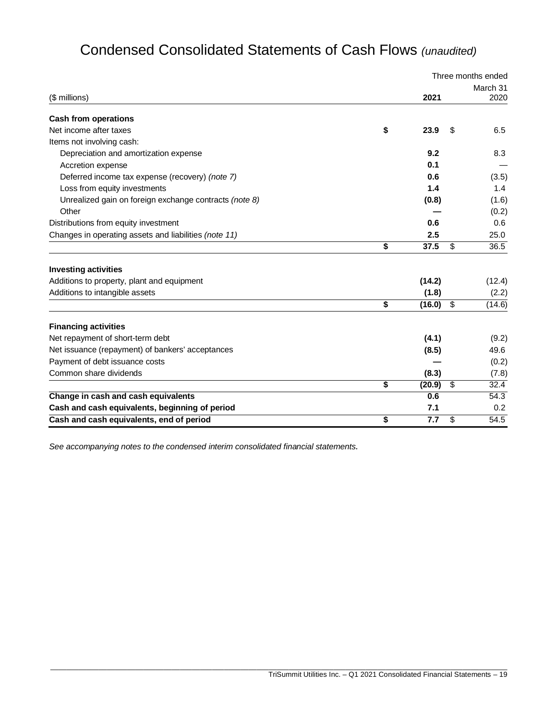# Condensed Consolidated Statements of Cash Flows *(unaudited)*

|                                                        |              |                          | Three months ended |
|--------------------------------------------------------|--------------|--------------------------|--------------------|
|                                                        |              |                          | March 31           |
| (\$ millions)                                          | 2021         |                          | 2020               |
| <b>Cash from operations</b>                            |              |                          |                    |
| Net income after taxes                                 | \$<br>23.9   | \$                       | 6.5                |
| Items not involving cash:                              |              |                          |                    |
| Depreciation and amortization expense                  | 9.2          |                          | 8.3                |
| Accretion expense                                      | 0.1          |                          |                    |
| Deferred income tax expense (recovery) (note 7)        | 0.6          |                          | (3.5)              |
| Loss from equity investments                           | 1.4          |                          | 1.4                |
| Unrealized gain on foreign exchange contracts (note 8) | (0.8)        |                          | (1.6)              |
| Other                                                  |              |                          | (0.2)              |
| Distributions from equity investment                   | 0.6          |                          | 0.6                |
| Changes in operating assets and liabilities (note 11)  | 2.5          |                          | 25.0               |
|                                                        | \$<br>37.5   | \$                       | 36.5               |
| <b>Investing activities</b>                            |              |                          |                    |
| Additions to property, plant and equipment             | (14.2)       |                          | (12.4)             |
| Additions to intangible assets                         | (1.8)        |                          | (2.2)              |
|                                                        | \$<br>(16.0) | \$                       | (14.6)             |
| <b>Financing activities</b>                            |              |                          |                    |
| Net repayment of short-term debt                       | (4.1)        |                          | (9.2)              |
| Net issuance (repayment) of bankers' acceptances       | (8.5)        |                          | 49.6               |
| Payment of debt issuance costs                         |              |                          | (0.2)              |
| Common share dividends                                 | (8.3)        |                          | (7.8)              |
|                                                        | \$<br>(20.9) | $\overline{\mathcal{S}}$ | 32.4               |
| Change in cash and cash equivalents                    | 0.6          |                          | 54.3               |
| Cash and cash equivalents, beginning of period         | 7.1          |                          | 0.2                |
| Cash and cash equivalents, end of period               | \$<br>7.7    | \$                       | 54.5               |

\_\_\_\_\_\_\_\_\_\_\_\_\_\_\_\_\_\_\_\_\_\_\_\_\_\_\_\_\_\_\_\_\_\_\_\_\_\_\_\_\_\_\_\_\_\_\_\_\_\_\_\_\_\_\_\_\_\_\_\_\_\_\_\_\_\_\_\_\_\_\_\_\_\_\_\_\_\_\_\_\_\_\_\_\_\_\_\_\_\_\_\_\_\_\_\_\_\_\_\_\_\_\_\_\_\_\_\_\_\_\_\_\_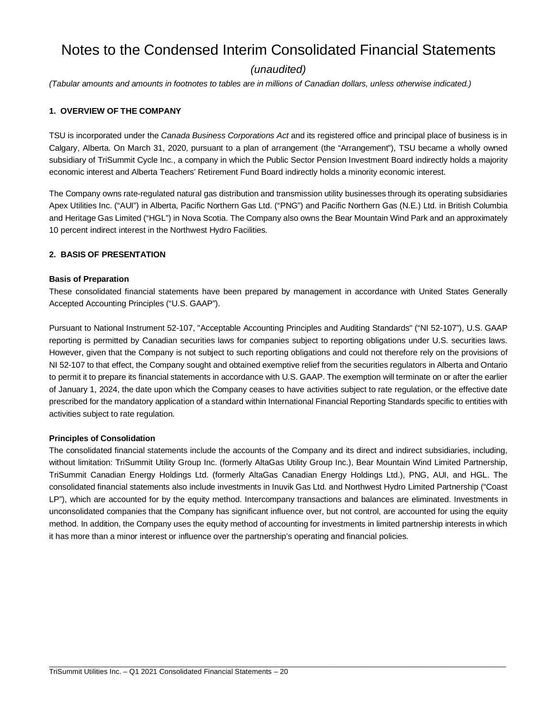# Notes to the Condensed Interim Consolidated Financial Statements

# *(unaudited)*

*(Tabular amounts and amounts in footnotes to tables are in millions of Canadian dollars, unless otherwise indicated.)*

#### **1. OVERVIEW OF THE COMPANY**

TSU is incorporated under the *Canada Business Corporations Act* and its registered office and principal place of business is in Calgary, Alberta. On March 31, 2020, pursuant to a plan of arrangement (the "Arrangement"), TSU became a wholly owned subsidiary of TriSummit Cycle Inc., a company in which the Public Sector Pension Investment Board indirectly holds a majority economic interest and Alberta Teachers' Retirement Fund Board indirectly holds a minority economic interest.

The Company owns rate-regulated natural gas distribution and transmission utility businesses through its operating subsidiaries Apex Utilities Inc. ("AUI") in Alberta, Pacific Northern Gas Ltd. ("PNG") and Pacific Northern Gas (N.E.) Ltd. in British Columbia and Heritage Gas Limited ("HGL") in Nova Scotia. The Company also owns the Bear Mountain Wind Park and an approximately 10 percent indirect interest in the Northwest Hydro Facilities.

#### **2. BASIS OF PRESENTATION**

#### **Basis of Preparation**

These consolidated financial statements have been prepared by management in accordance with United States Generally Accepted Accounting Principles ("U.S. GAAP").

Pursuant to National Instrument 52-107, "Acceptable Accounting Principles and Auditing Standards" ("NI 52-107"), U.S. GAAP reporting is permitted by Canadian securities laws for companies subject to reporting obligations under U.S. securities laws. However, given that the Company is not subject to such reporting obligations and could not therefore rely on the provisions of NI 52-107 to that effect, the Company sought and obtained exemptive relief from the securities regulators in Alberta and Ontario to permit it to prepare its financial statements in accordance with U.S. GAAP. The exemption will terminate on or after the earlier of January 1, 2024, the date upon which the Company ceases to have activities subject to rate regulation, or the effective date prescribed for the mandatory application of a standard within International Financial Reporting Standards specific to entities with activities subject to rate regulation.

#### **Principles of Consolidation**

The consolidated financial statements include the accounts of the Company and its direct and indirect subsidiaries, including, without limitation: TriSummit Utility Group Inc. (formerly AltaGas Utility Group Inc.), Bear Mountain Wind Limited Partnership, TriSummit Canadian Energy Holdings Ltd. (formerly AltaGas Canadian Energy Holdings Ltd.), PNG, AUI, and HGL. The consolidated financial statements also include investments in Inuvik Gas Ltd. and Northwest Hydro Limited Partnership ("Coast LP"), which are accounted for by the equity method. Intercompany transactions and balances are eliminated. Investments in unconsolidated companies that the Company has significant influence over, but not control, are accounted for using the equity method. In addition, the Company uses the equity method of accounting for investments in limited partnership interests in which it has more than a minor interest or influence over the partnership's operating and financial policies.

\_\_\_\_\_\_\_\_\_\_\_\_\_\_\_\_\_\_\_\_\_\_\_\_\_\_\_\_\_\_\_\_\_\_\_\_\_\_\_\_\_\_\_\_\_\_\_\_\_\_\_\_\_\_\_\_\_\_\_\_\_\_\_\_\_\_\_\_\_\_\_\_\_\_\_\_\_\_\_\_\_\_\_\_\_\_\_\_\_\_\_\_\_\_\_\_\_\_\_\_\_\_\_\_\_\_\_\_\_\_\_\_\_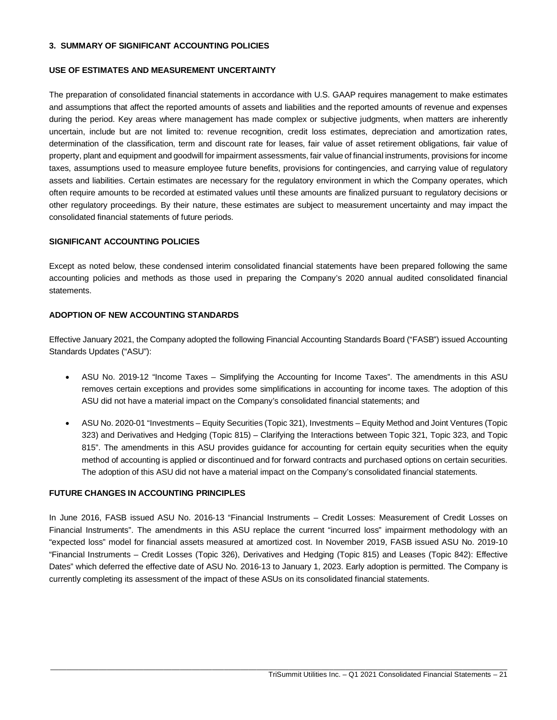#### **3. SUMMARY OF SIGNIFICANT ACCOUNTING POLICIES**

#### **USE OF ESTIMATES AND MEASUREMENT UNCERTAINTY**

The preparation of consolidated financial statements in accordance with U.S. GAAP requires management to make estimates and assumptions that affect the reported amounts of assets and liabilities and the reported amounts of revenue and expenses during the period. Key areas where management has made complex or subjective judgments, when matters are inherently uncertain, include but are not limited to: revenue recognition, credit loss estimates, depreciation and amortization rates, determination of the classification, term and discount rate for leases, fair value of asset retirement obligations, fair value of property, plant and equipment and goodwill for impairment assessments, fair value of financial instruments, provisions for income taxes, assumptions used to measure employee future benefits, provisions for contingencies, and carrying value of regulatory assets and liabilities. Certain estimates are necessary for the regulatory environment in which the Company operates, which often require amounts to be recorded at estimated values until these amounts are finalized pursuant to regulatory decisions or other regulatory proceedings. By their nature, these estimates are subject to measurement uncertainty and may impact the consolidated financial statements of future periods.

#### **SIGNIFICANT ACCOUNTING POLICIES**

Except as noted below, these condensed interim consolidated financial statements have been prepared following the same accounting policies and methods as those used in preparing the Company's 2020 annual audited consolidated financial statements.

#### **ADOPTION OF NEW ACCOUNTING STANDARDS**

Effective January 2021, the Company adopted the following Financial Accounting Standards Board ("FASB") issued Accounting Standards Updates ("ASU"):

- ASU No. 2019-12 "Income Taxes Simplifying the Accounting for Income Taxes". The amendments in this ASU removes certain exceptions and provides some simplifications in accounting for income taxes. The adoption of this ASU did not have a material impact on the Company's consolidated financial statements; and
- ASU No. 2020-01 "Investments Equity Securities (Topic 321), Investments Equity Method and Joint Ventures (Topic 323) and Derivatives and Hedging (Topic 815) – Clarifying the Interactions between Topic 321, Topic 323, and Topic 815". The amendments in this ASU provides guidance for accounting for certain equity securities when the equity method of accounting is applied or discontinued and for forward contracts and purchased options on certain securities. The adoption of this ASU did not have a material impact on the Company's consolidated financial statements.

#### **FUTURE CHANGES IN ACCOUNTING PRINCIPLES**

In June 2016, FASB issued ASU No. 2016-13 "Financial Instruments – Credit Losses: Measurement of Credit Losses on Financial Instruments". The amendments in this ASU replace the current "incurred loss" impairment methodology with an "expected loss" model for financial assets measured at amortized cost. In November 2019, FASB issued ASU No. 2019-10 "Financial Instruments – Credit Losses (Topic 326), Derivatives and Hedging (Topic 815) and Leases (Topic 842): Effective Dates" which deferred the effective date of ASU No. 2016-13 to January 1, 2023. Early adoption is permitted. The Company is currently completing its assessment of the impact of these ASUs on its consolidated financial statements.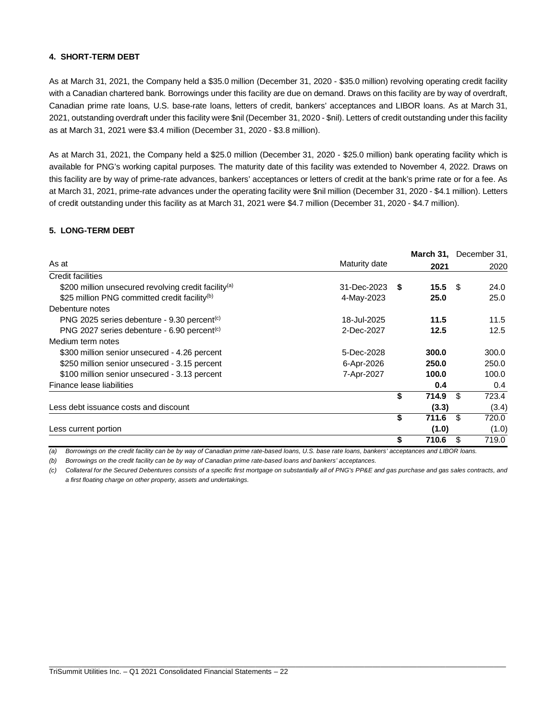#### **4. SHORT-TERM DEBT**

As at March 31, 2021, the Company held a \$35.0 million (December 31, 2020 - \$35.0 million) revolving operating credit facility with a Canadian chartered bank. Borrowings under this facility are due on demand. Draws on this facility are by way of overdraft, Canadian prime rate loans, U.S. base-rate loans, letters of credit, bankers' acceptances and LIBOR loans. As at March 31, 2021, outstanding overdraft under this facility were \$nil (December 31, 2020 - \$nil). Letters of credit outstanding under this facility as at March 31, 2021 were \$3.4 million (December 31, 2020 - \$3.8 million).

As at March 31, 2021, the Company held a \$25.0 million (December 31, 2020 - \$25.0 million) bank operating facility which is available for PNG's working capital purposes. The maturity date of this facility was extended to November 4, 2022. Draws on this facility are by way of prime-rate advances, bankers' acceptances or letters of credit at the bank's prime rate or for a fee. As at March 31, 2021, prime-rate advances under the operating facility were \$nil million (December 31, 2020 - \$4.1 million). Letters of credit outstanding under this facility as at March 31, 2021 were \$4.7 million (December 31, 2020 - \$4.7 million).

## **5. LONG-TERM DEBT**

|                                                                  |               |      | March 31, December 31, |     |               |
|------------------------------------------------------------------|---------------|------|------------------------|-----|---------------|
| As at                                                            | Maturity date |      | 2021                   |     | 2020          |
| Credit facilities                                                |               |      |                        |     |               |
| \$200 million unsecured revolving credit facility <sup>(a)</sup> | 31-Dec-2023   | - \$ | $15.5$ \$              |     | 24.0          |
| \$25 million PNG committed credit facility <sup>(b)</sup>        | 4-May-2023    |      | 25.0                   |     | 25.0          |
| Debenture notes                                                  |               |      |                        |     |               |
| PNG 2025 series debenture - 9.30 percent <sup>(c)</sup>          | 18-Jul-2025   |      | 11.5                   |     | 11.5          |
| PNG 2027 series debenture - 6.90 percent <sup>(c)</sup>          | 2-Dec-2027    |      | 12.5                   |     | 12.5          |
| Medium term notes                                                |               |      |                        |     |               |
| \$300 million senior unsecured - 4.26 percent                    | 5-Dec-2028    |      | 300.0                  |     | 300.0         |
| \$250 million senior unsecured - 3.15 percent                    | 6-Apr-2026    |      | 250.0                  |     | 250.0         |
| \$100 million senior unsecured - 3.13 percent                    | 7-Apr-2027    |      | 100.0                  |     | 100.0         |
| Finance lease liabilities                                        |               |      | 0.4                    |     | $0.4^{\circ}$ |
|                                                                  |               | \$   | 714.9                  | -\$ | 723.4         |
| Less debt issuance costs and discount                            |               |      | (3.3)                  |     | (3.4)         |
|                                                                  |               | \$   | 711.6                  | -\$ | 720.0         |
| Less current portion                                             |               |      | (1.0)                  |     | (1.0)         |
|                                                                  |               | \$   | 710.6                  | \$. | 719.0         |

*(a) Borrowings on the credit facility can be by way of Canadian prime rate-based loans, U.S. base rate loans, bankers' acceptances and LIBOR loans.*

*(b) Borrowings on the credit facility can be by way of Canadian prime rate-based loans and bankers' acceptances.*

*(c) Collateral for the Secured Debentures consists of a specific first mortgage on substantially all of PNG's PP&E and gas purchase and gas sales contracts, and a first floating charge on other property, assets and undertakings.*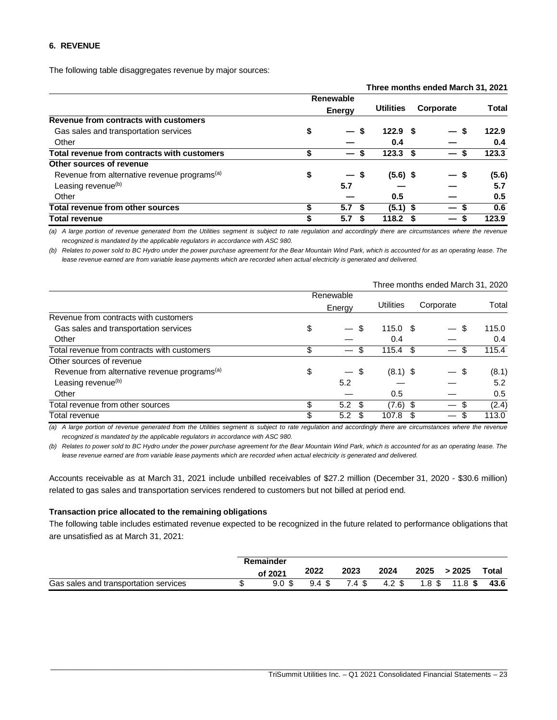#### **6. REVENUE**

The following table disaggregates revenue by major sources:

|                                                          |    |                      |                    | Three months ended March 31, 2021 |       |
|----------------------------------------------------------|----|----------------------|--------------------|-----------------------------------|-------|
|                                                          |    | Renewable            |                    |                                   |       |
|                                                          |    | <b>Energy</b>        | <b>Utilities</b>   | Corporate                         | Total |
| Revenue from contracts with customers                    |    |                      |                    |                                   |       |
| Gas sales and transportation services                    | \$ | S                    | 122.9 <sup>5</sup> |                                   | 122.9 |
| Other                                                    |    |                      | 0.4                |                                   | 0.4   |
| Total revenue from contracts with customers              | S  | S<br>$\qquad \qquad$ | 123.3 <sup>5</sup> | $\overline{\phantom{0}}$          | 123.3 |
| Other sources of revenue                                 |    |                      |                    |                                   |       |
| Revenue from alternative revenue programs <sup>(a)</sup> | \$ | — s                  | $(5.6)$ \$         | — S                               | (5.6) |
| Leasing revenue <sup>(b)</sup>                           |    | 5.7                  |                    |                                   | 5.7   |
| Other                                                    |    |                      | 0.5                |                                   | 0.5   |
| <b>Total revenue from other sources</b>                  | \$ | 5.7                  | $(5.1)$ \$         |                                   | 0.6   |
| <b>Total revenue</b>                                     | \$ | 5.7                  | 118.2 <sup>5</sup> | $\overline{\phantom{0}}$          | 123.9 |

*(a) A large portion of revenue generated from the Utilities segment is subject to rate regulation and accordingly there are circumstances where the revenue recognized is mandated by the applicable regulators in accordance with ASC 980.*

*(b) Relates to power sold to BC Hydro under the power purchase agreement for the Bear Mountain Wind Park, which is accounted for as an operating lease. The lease revenue earned are from variable lease payments which are recorded when actual electricity is generated and delivered.*

|                                                          |    |                                                | Three months ended March 31, 2020 |           |       |
|----------------------------------------------------------|----|------------------------------------------------|-----------------------------------|-----------|-------|
|                                                          |    | Renewable                                      |                                   |           |       |
|                                                          |    | Energy                                         | <b>Utilities</b>                  | Corporate | Total |
| Revenue from contracts with customers                    |    |                                                |                                   |           |       |
| Gas sales and transportation services                    | \$ | \$.                                            | $115.0$ \$                        | \$.       | 115.0 |
| Other                                                    |    |                                                | 0.4                               |           | 0.4   |
| Total revenue from contracts with customers              | \$ | S<br>$\qquad \qquad \overline{\qquad \qquad }$ | $115.4$ \$                        |           | 115.4 |
| Other sources of revenue                                 |    |                                                |                                   |           |       |
| Revenue from alternative revenue programs <sup>(a)</sup> | \$ | $-$ \$                                         | $(8.1)$ \$                        | \$        | (8.1) |
| Leasing revenue <sup>(b)</sup>                           |    | 5.2                                            |                                   |           | 5.2   |
| Other                                                    |    |                                                | 0.5                               |           | 0.5   |
| Total revenue from other sources                         | \$ | $5.2 \text{ } $$                               | $(7.6)$ \$                        |           | (2.4) |
| Total revenue                                            | \$ | 5.2<br>-S                                      | 107.8                             | S         | 113.0 |

*(a) A large portion of revenue generated from the Utilities segment is subject to rate regulation and accordingly there are circumstances where the revenue recognized is mandated by the applicable regulators in accordance with ASC 980.*

*(b) Relates to power sold to BC Hydro under the power purchase agreement for the Bear Mountain Wind Park, which is accounted for as an operating lease. The lease revenue earned are from variable lease payments which are recorded when actual electricity is generated and delivered.*

Accounts receivable as at March 31, 2021 include unbilled receivables of \$27.2 million (December 31, 2020 - \$30.6 million) related to gas sales and transportation services rendered to customers but not billed at period end.

#### **Transaction price allocated to the remaining obligations**

The following table includes estimated revenue expected to be recognized in the future related to performance obligations that are unsatisfied as at March 31, 2021:

|                                       | Remainder |       |        |        |      |                |              |
|---------------------------------------|-----------|-------|--------|--------|------|----------------|--------------|
|                                       | of 2021   | 2022  | 2023   | 2024   | 2025 | >2025          | <b>Total</b> |
| Gas sales and transportation services | 9.0S      | 9.4 S | 7.4 \$ | 4.2 \$ |      | 1.8 \$ 11.8 \$ | 43.6         |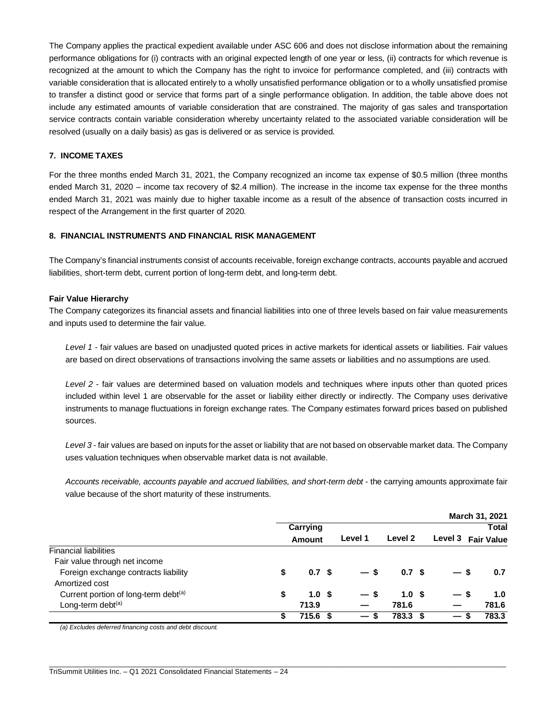The Company applies the practical expedient available under ASC 606 and does not disclose information about the remaining performance obligations for (i) contracts with an original expected length of one year or less, (ii) contracts for which revenue is recognized at the amount to which the Company has the right to invoice for performance completed, and (iii) contracts with variable consideration that is allocated entirely to a wholly unsatisfied performance obligation or to a wholly unsatisfied promise to transfer a distinct good or service that forms part of a single performance obligation. In addition, the table above does not include any estimated amounts of variable consideration that are constrained. The majority of gas sales and transportation service contracts contain variable consideration whereby uncertainty related to the associated variable consideration will be resolved (usually on a daily basis) as gas is delivered or as service is provided.

## **7. INCOME TAXES**

For the three months ended March 31, 2021, the Company recognized an income tax expense of \$0.5 million (three months ended March 31, 2020 – income tax recovery of \$2.4 million). The increase in the income tax expense for the three months ended March 31, 2021 was mainly due to higher taxable income as a result of the absence of transaction costs incurred in respect of the Arrangement in the first quarter of 2020.

# **8. FINANCIAL INSTRUMENTS AND FINANCIAL RISK MANAGEMENT**

The Company's financial instruments consist of accounts receivable, foreign exchange contracts, accounts payable and accrued liabilities, short-term debt, current portion of long-term debt, and long-term debt.

#### **Fair Value Hierarchy**

The Company categorizes its financial assets and financial liabilities into one of three levels based on fair value measurements and inputs used to determine the fair value.

*Level 1* - fair values are based on unadjusted quoted prices in active markets for identical assets or liabilities. Fair values are based on direct observations of transactions involving the same assets or liabilities and no assumptions are used.

*Level 2* - fair values are determined based on valuation models and techniques where inputs other than quoted prices included within level 1 are observable for the asset or liability either directly or indirectly. The Company uses derivative instruments to manage fluctuations in foreign exchange rates. The Company estimates forward prices based on published sources.

*Level 3* - fair values are based on inputs for the asset or liability that are not based on observable market data. The Company uses valuation techniques when observable market data is not available.

*Accounts receivable, accounts payable and accrued liabilities, and short-term debt* - the carrying amounts approximate fair value because of the short maturity of these instruments.

|                                                  |    |                  |      |                 |                  |         | March 31, 2021    |
|--------------------------------------------------|----|------------------|------|-----------------|------------------|---------|-------------------|
|                                                  |    | Carrying         |      |                 |                  |         | <b>Total</b>      |
|                                                  |    | Amount           |      | Level 1         | Level 2          | Level 3 | <b>Fair Value</b> |
| <b>Financial liabilities</b>                     |    |                  |      |                 |                  |         |                   |
| Fair value through net income                    |    |                  |      |                 |                  |         |                   |
| Foreign exchange contracts liability             | \$ | 0.7 <sup>5</sup> |      | $-5$            | 0.7 <sup>5</sup> |         | 0.7               |
| Amortized cost                                   |    |                  |      |                 |                  |         |                   |
| Current portion of long-term debt <sup>(a)</sup> | \$ | 1.0 <sup>5</sup> |      | — s             | 1.0 <sup>5</sup> | — s     | 1.0               |
| Long-term debt <sup>(a)</sup>                    |    | 713.9            |      |                 | 781.6            |         | 781.6             |
|                                                  | S  | 715.6            | - \$ | $\qquad \qquad$ | 783.3 \$         | —       | 783.3             |

\_\_\_\_\_\_\_\_\_\_\_\_\_\_\_\_\_\_\_\_\_\_\_\_\_\_\_\_\_\_\_\_\_\_\_\_\_\_\_\_\_\_\_\_\_\_\_\_\_\_\_\_\_\_\_\_\_\_\_\_\_\_\_\_\_\_\_\_\_\_\_\_\_\_\_\_\_\_\_\_\_\_\_\_\_\_\_\_\_\_\_\_\_\_\_\_\_\_\_\_\_\_\_\_\_\_\_\_\_\_\_\_\_

*(a) Excludes deferred financing costs and debt discount.*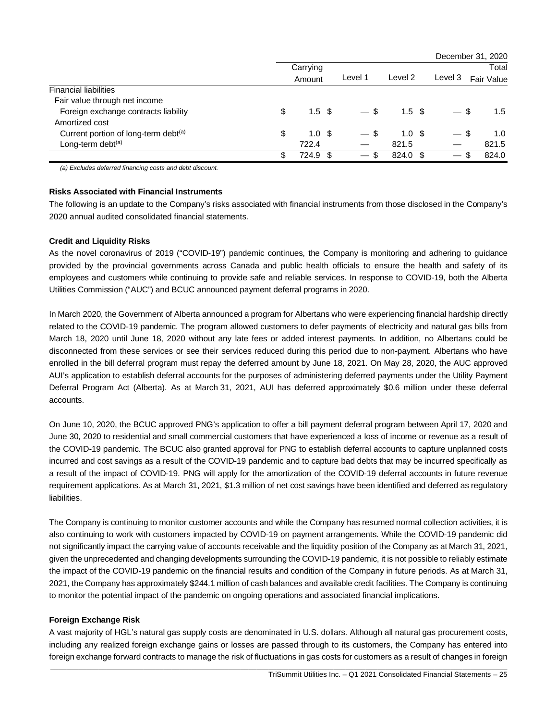|                                      |                        |      |         |                  |                                       | December 31, 2020 |
|--------------------------------------|------------------------|------|---------|------------------|---------------------------------------|-------------------|
|                                      | Carrying               |      |         |                  |                                       | Total             |
|                                      | Amount                 |      | Level 1 | Level 2          | Level 3                               | Fair Value        |
| <b>Financial liabilities</b>         |                        |      |         |                  |                                       |                   |
| Fair value through net income        |                        |      |         |                  |                                       |                   |
| Foreign exchange contracts liability | \$<br>1.5 <sup>5</sup> |      | $-$ \$  | 1.5 <sup>5</sup> | -S                                    | 1.5               |
| Amortized cost                       |                        |      |         |                  |                                       |                   |
| Current portion of long-term debt(a) | \$<br>1.0 <sup>5</sup> |      | $-$ \$  | 1.0 <sup>5</sup> | - \$<br>$\overbrace{\phantom{aaaaa}}$ | 1.0               |
| Long-term debt <sup>(a)</sup>        | 722.4                  |      |         | 821.5            |                                       | 821.5             |
|                                      | \$<br>724.9            | - \$ |         | 824.0 \$         | ß.<br>$\overline{\phantom{0}}$        | 824.0             |

*(a) Excludes deferred financing costs and debt discount.*

#### **Risks Associated with Financial Instruments**

The following is an update to the Company's risks associated with financial instruments from those disclosed in the Company's 2020 annual audited consolidated financial statements.

#### **Credit and Liquidity Risks**

As the novel coronavirus of 2019 ("COVID-19") pandemic continues, the Company is monitoring and adhering to guidance provided by the provincial governments across Canada and public health officials to ensure the health and safety of its employees and customers while continuing to provide safe and reliable services. In response to COVID-19, both the Alberta Utilities Commission ("AUC") and BCUC announced payment deferral programs in 2020.

In March 2020, the Government of Alberta announced a program for Albertans who were experiencing financial hardship directly related to the COVID-19 pandemic. The program allowed customers to defer payments of electricity and natural gas bills from March 18, 2020 until June 18, 2020 without any late fees or added interest payments. In addition, no Albertans could be disconnected from these services or see their services reduced during this period due to non-payment. Albertans who have enrolled in the bill deferral program must repay the deferred amount by June 18, 2021. On May 28, 2020, the AUC approved AUI's application to establish deferral accounts for the purposes of administering deferred payments under the Utility Payment Deferral Program Act (Alberta). As at March 31, 2021, AUI has deferred approximately \$0.6 million under these deferral accounts.

On June 10, 2020, the BCUC approved PNG's application to offer a bill payment deferral program between April 17, 2020 and June 30, 2020 to residential and small commercial customers that have experienced a loss of income or revenue as a result of the COVID-19 pandemic. The BCUC also granted approval for PNG to establish deferral accounts to capture unplanned costs incurred and cost savings as a result of the COVID-19 pandemic and to capture bad debts that may be incurred specifically as a result of the impact of COVID-19. PNG will apply for the amortization of the COVID-19 deferral accounts in future revenue requirement applications. As at March 31, 2021, \$1.3 million of net cost savings have been identified and deferred as regulatory liabilities.

The Company is continuing to monitor customer accounts and while the Company has resumed normal collection activities, it is also continuing to work with customers impacted by COVID-19 on payment arrangements. While the COVID-19 pandemic did not significantly impact the carrying value of accounts receivable and the liquidity position of the Company as at March 31, 2021, given the unprecedented and changing developments surrounding the COVID-19 pandemic, it is not possible to reliably estimate the impact of the COVID-19 pandemic on the financial results and condition of the Company in future periods. As at March 31, 2021, the Company has approximately \$244.1 million of cash balances and available credit facilities. The Company is continuing to monitor the potential impact of the pandemic on ongoing operations and associated financial implications.

## **Foreign Exchange Risk**

A vast majority of HGL's natural gas supply costs are denominated in U.S. dollars. Although all natural gas procurement costs, including any realized foreign exchange gains or losses are passed through to its customers, the Company has entered into foreign exchange forward contracts to manage the risk of fluctuations in gas costs for customers as a result of changes in foreign

\_\_\_\_\_\_\_\_\_\_\_\_\_\_\_\_\_\_\_\_\_\_\_\_\_\_\_\_\_\_\_\_\_\_\_\_\_\_\_\_\_\_\_\_\_\_\_\_\_\_\_\_\_\_\_\_\_\_\_\_\_\_\_\_\_\_\_\_\_\_\_\_\_\_\_\_\_\_\_\_\_\_\_\_\_\_\_\_\_\_\_\_\_\_\_\_\_\_\_\_\_\_\_\_\_\_\_\_\_\_\_\_\_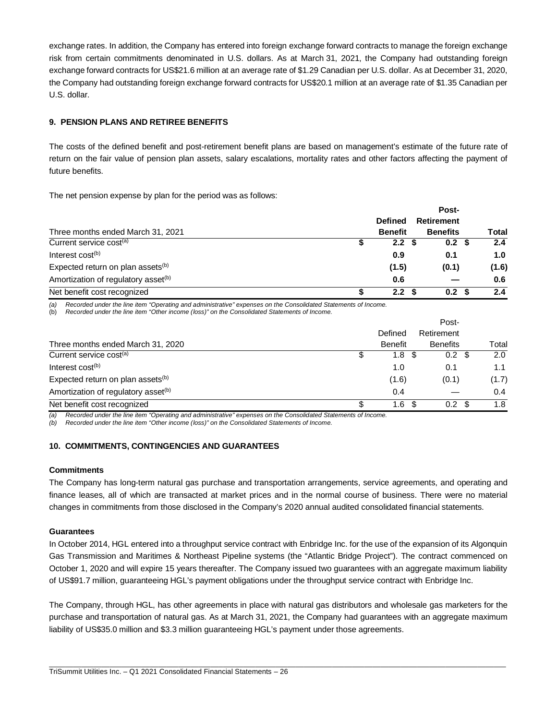exchange rates. In addition, the Company has entered into foreign exchange forward contracts to manage the foreign exchange risk from certain commitments denominated in U.S. dollars. As at March 31, 2021, the Company had outstanding foreign exchange forward contracts for US\$21.6 million at an average rate of \$1.29 Canadian per U.S. dollar. As at December 31, 2020, the Company had outstanding foreign exchange forward contracts for US\$20.1 million at an average rate of \$1.35 Canadian per U.S. dollar.

## **9. PENSION PLANS AND RETIREE BENEFITS**

The costs of the defined benefit and post-retirement benefit plans are based on management's estimate of the future rate of return on the fair value of pension plan assets, salary escalations, mortality rates and other factors affecting the payment of future benefits.

The net pension expense by plan for the period was as follows:

|                                                 |                  | Post-             |              |
|-------------------------------------------------|------------------|-------------------|--------------|
|                                                 | <b>Defined</b>   | <b>Retirement</b> |              |
| Three months ended March 31, 2021               | <b>Benefit</b>   | <b>Benefits</b>   | <b>Total</b> |
| Current service cost <sup>(a)</sup>             | 2.2 <sup>5</sup> | 0.2 <sup>5</sup>  | 2.4          |
| Interest $cost(b)$                              | 0.9              | 0.1               | 1.0          |
| Expected return on plan assets <sup>(b)</sup>   | (1.5)            | (0.1)             | (1.6)        |
| Amortization of regulatory asset <sup>(b)</sup> | 0.6              |                   | 0.6          |
| Net benefit cost recognized                     | 2.2 <sub>2</sub> | 0.2 <sup>5</sup>  | 2.4          |

*(a) Recorded under the line item "Operating and administrative" expenses on the Consolidated Statements of Income.*

(b) *Recorded under the line item "Other income (loss)" on the Consolidated Statements of Income.*

|                                                 |                |     | Post-            |       |
|-------------------------------------------------|----------------|-----|------------------|-------|
|                                                 | Defined        |     | Retirement       |       |
| Three months ended March 31, 2020               | <b>Benefit</b> |     | <b>Benefits</b>  | Total |
| Current service cost <sup>(a)</sup>             | 1.8            |     | 0.2              | 2.0   |
| Interest cost <sup>(b)</sup>                    | 1.0            |     | 0.1              | 1.1   |
| Expected return on plan assets <sup>(b)</sup>   | (1.6)          |     | (0.1)            | (1.7) |
| Amortization of regulatory asset <sup>(b)</sup> | 0.4            |     |                  | 0.4   |
| Net benefit cost recognized                     | 1.6            | \$. | 0.2 <sub>1</sub> | 1.8   |

*(a) Recorded under the line item "Operating and administrative" expenses on the Consolidated Statements of Income.*

*(b) Recorded under the line item "Other income (loss)" on the Consolidated Statements of Income.*

#### **10. COMMITMENTS, CONTINGENCIES AND GUARANTEES**

#### **Commitments**

The Company has long-term natural gas purchase and transportation arrangements, service agreements, and operating and finance leases, all of which are transacted at market prices and in the normal course of business. There were no material changes in commitments from those disclosed in the Company's 2020 annual audited consolidated financial statements.

#### **Guarantees**

In October 2014, HGL entered into a throughput service contract with Enbridge Inc. for the use of the expansion of its Algonquin Gas Transmission and Maritimes & Northeast Pipeline systems (the "Atlantic Bridge Project"). The contract commenced on October 1, 2020 and will expire 15 years thereafter. The Company issued two guarantees with an aggregate maximum liability of US\$91.7 million, guaranteeing HGL's payment obligations under the throughput service contract with Enbridge Inc.

The Company, through HGL, has other agreements in place with natural gas distributors and wholesale gas marketers for the purchase and transportation of natural gas. As at March 31, 2021, the Company had guarantees with an aggregate maximum liability of US\$35.0 million and \$3.3 million guaranteeing HGL's payment under those agreements.

\_\_\_\_\_\_\_\_\_\_\_\_\_\_\_\_\_\_\_\_\_\_\_\_\_\_\_\_\_\_\_\_\_\_\_\_\_\_\_\_\_\_\_\_\_\_\_\_\_\_\_\_\_\_\_\_\_\_\_\_\_\_\_\_\_\_\_\_\_\_\_\_\_\_\_\_\_\_\_\_\_\_\_\_\_\_\_\_\_\_\_\_\_\_\_\_\_\_\_\_\_\_\_\_\_\_\_\_\_\_\_\_\_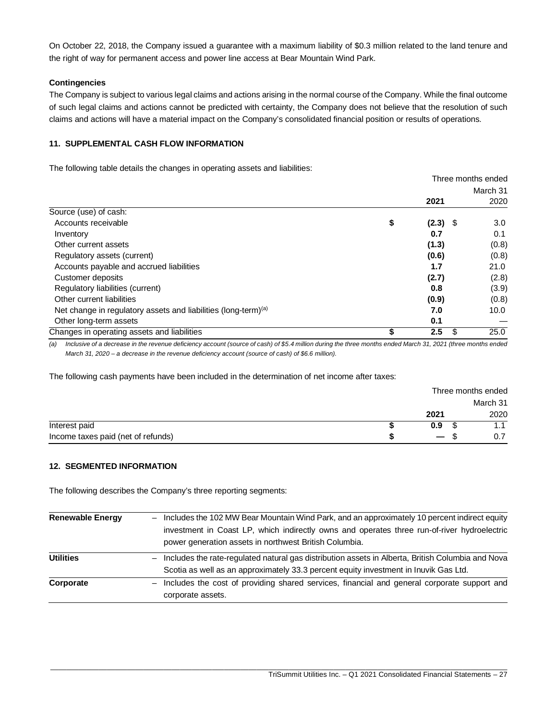On October 22, 2018, the Company issued a guarantee with a maximum liability of \$0.3 million related to the land tenure and the right of way for permanent access and power line access at Bear Mountain Wind Park.

## **Contingencies**

The Company is subject to various legal claims and actions arising in the normal course of the Company. While the final outcome of such legal claims and actions cannot be predicted with certainty, the Company does not believe that the resolution of such claims and actions will have a material impact on the Company's consolidated financial position or results of operations.

## **11. SUPPLEMENTAL CASH FLOW INFORMATION**

The following table details the changes in operating assets and liabilities:

|                                                                            | Three months ended |          |
|----------------------------------------------------------------------------|--------------------|----------|
|                                                                            |                    | March 31 |
|                                                                            | 2021               | 2020     |
| Source (use) of cash:                                                      |                    |          |
| Accounts receivable                                                        | \$<br>$(2.3)$ \$   | 3.0      |
| Inventory                                                                  | 0.7                | 0.1      |
| Other current assets                                                       | (1.3)              | (0.8)    |
| Regulatory assets (current)                                                | (0.6)              | (0.8)    |
| Accounts payable and accrued liabilities                                   | 1.7                | 21.0     |
| Customer deposits                                                          | (2.7)              | (2.8)    |
| Regulatory liabilities (current)                                           | 0.8                | (3.9)    |
| Other current liabilities                                                  | (0.9)              | (0.8)    |
| Net change in regulatory assets and liabilities (long-term) <sup>(a)</sup> | 7.0                | 10.0     |
| Other long-term assets                                                     | 0.1                |          |
| Changes in operating assets and liabilities                                | 2.5<br>S           | 25.0     |

*(a) Inclusive of a decrease in the revenue deficiency account (source of cash) of \$5.4 million during the three months ended March 31, 2021 (three months ended March 31, 2020 – a decrease in the revenue deficiency account (source of cash) of \$6.6 million).*

The following cash payments have been included in the determination of net income after taxes:

|                                    |                          | Three months ended |          |  |  |  |
|------------------------------------|--------------------------|--------------------|----------|--|--|--|
|                                    |                          |                    | March 31 |  |  |  |
|                                    | 2021                     |                    | 2020     |  |  |  |
| Interest paid                      | 0.9                      |                    |          |  |  |  |
| Income taxes paid (net of refunds) | $\overline{\phantom{0}}$ |                    |          |  |  |  |

## **12. SEGMENTED INFORMATION**

The following describes the Company's three reporting segments:

| <b>Renewable Energy</b> | Includes the 102 MW Bear Mountain Wind Park, and an approximately 10 percent indirect equity      |
|-------------------------|---------------------------------------------------------------------------------------------------|
|                         | investment in Coast LP, which indirectly owns and operates three run-of-river hydroelectric       |
|                         | power generation assets in northwest British Columbia.                                            |
| <b>Utilities</b>        | Includes the rate-regulated natural gas distribution assets in Alberta, British Columbia and Nova |
|                         | Scotia as well as an approximately 33.3 percent equity investment in Inuvik Gas Ltd.              |
| Corporate               | Includes the cost of providing shared services, financial and general corporate support and       |
|                         | corporate assets.                                                                                 |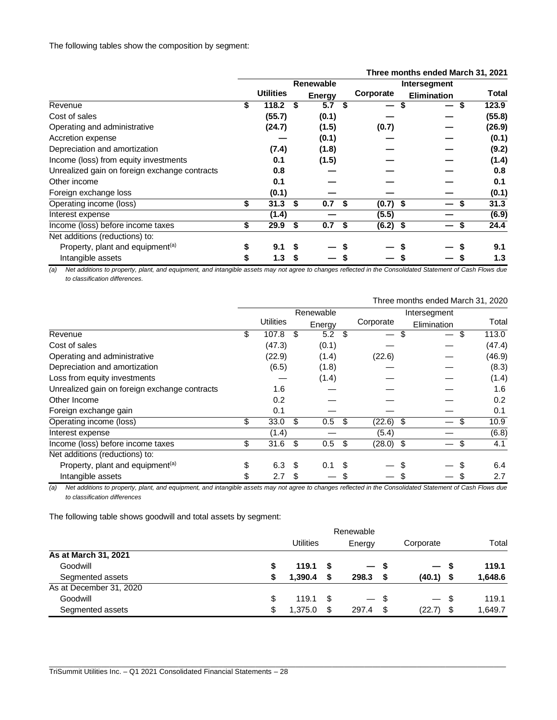|                                               |                  |                  |    |               |      |              | Three months ended March 31, 2021 |              |
|-----------------------------------------------|------------------|------------------|----|---------------|------|--------------|-----------------------------------|--------------|
|                                               | <b>Renewable</b> |                  |    |               |      | Intersegment |                                   |              |
|                                               |                  | <b>Utilities</b> |    | <b>Energy</b> |      | Corporate    | <b>Elimination</b>                | <b>Total</b> |
| Revenue                                       | \$               | 118.2            | S  | 5.7           | S    | —            | \$                                | 123.9        |
| Cost of sales                                 |                  | (55.7)           |    | (0.1)         |      |              |                                   | (55.8)       |
| Operating and administrative                  |                  | (24.7)           |    | (1.5)         |      | (0.7)        |                                   | (26.9)       |
| Accretion expense                             |                  |                  |    | (0.1)         |      |              |                                   | (0.1)        |
| Depreciation and amortization                 |                  | (7.4)            |    | (1.8)         |      |              |                                   | (9.2)        |
| Income (loss) from equity investments         |                  | 0.1              |    | (1.5)         |      |              |                                   | (1.4)        |
| Unrealized gain on foreign exchange contracts |                  | 0.8              |    |               |      |              |                                   | 0.8          |
| Other income                                  |                  | 0.1              |    |               |      |              |                                   | 0.1          |
| Foreign exchange loss                         |                  | (0.1)            |    |               |      |              |                                   | (0.1)        |
| Operating income (loss)                       | \$               | 31.3             | \$ | 0.7           | - \$ | $(0.7)$ \$   |                                   | 31.3         |
| Interest expense                              |                  | (1.4)            |    |               |      | (5.5)        |                                   | (6.9)        |
| Income (loss) before income taxes             | \$               | 29.9             | S  | 0.7           | - \$ | $(6.2)$ \$   |                                   | 24.4<br>S    |
| Net additions (reductions) to:                |                  |                  |    |               |      |              |                                   |              |
| Property, plant and equipment <sup>(a)</sup>  | \$               | 9.1              | S  |               |      |              |                                   | 9.1          |
| Intangible assets                             | S                | 1.3              | S  |               |      |              |                                   | 1.3          |

#### *(a) Net additions to property, plant, and equipment, and intangible assets may not agree to changes reflected in the Consolidated Statement of Cash Flows due to classification differences.*

|                                               |           |           |    |        |      |              |    | Three months ended March 31, 2020 |   |        |  |
|-----------------------------------------------|-----------|-----------|----|--------|------|--------------|----|-----------------------------------|---|--------|--|
|                                               | Renewable |           |    |        |      | Intersegment |    |                                   |   |        |  |
|                                               |           | Utilities |    | Energy |      | Corporate    |    | Elimination                       |   | Total  |  |
| Revenue                                       | \$        | 107.8     | S  | 5.2    | \$.  |              | \$ | $\overline{\phantom{m}}$          | S | 113.0  |  |
| Cost of sales                                 |           | (47.3)    |    | (0.1)  |      |              |    |                                   |   | (47.4) |  |
| Operating and administrative                  |           | (22.9)    |    | (1.4)  |      | (22.6)       |    |                                   |   | (46.9) |  |
| Depreciation and amortization                 |           | (6.5)     |    | (1.8)  |      |              |    |                                   |   | (8.3)  |  |
| Loss from equity investments                  |           |           |    | (1.4)  |      |              |    |                                   |   | (1.4)  |  |
| Unrealized gain on foreign exchange contracts |           | 1.6       |    |        |      |              |    |                                   |   | 1.6    |  |
| Other Income                                  |           | 0.2       |    |        |      |              |    |                                   |   | 0.2    |  |
| Foreign exchange gain                         |           | 0.1       |    |        |      |              |    |                                   |   | 0.1    |  |
| Operating income (loss)                       | \$        | 33.0      | \$ | 0.5    | - \$ | $(22.6)$ \$  |    |                                   |   | 10.9   |  |
| Interest expense                              |           | (1.4)     |    |        |      | (5.4)        |    |                                   |   | (6.8)  |  |
| Income (loss) before income taxes             | \$        | 31.6      | \$ | 0.5    | -\$  | $(28.0)$ \$  |    |                                   | S | 4.1    |  |
| Net additions (reductions) to:                |           |           |    |        |      |              |    |                                   |   |        |  |
| Property, plant and equipment <sup>(a)</sup>  | \$        | 6.3       | \$ | 0.1    |      |              |    |                                   |   | 6.4    |  |
| Intangible assets                             | \$        | 2.7       | S  |        |      |              |    |                                   |   | 2.7    |  |

*(a) Net additions to property, plant, and equipment, and intangible assets may not agree to changes reflected in the Consolidated Statement of Cash Flows due to classification differences*

The following table shows goodwill and total assets by segment:

|                         | Renewable |                  |      |        |    |           |      |         |
|-------------------------|-----------|------------------|------|--------|----|-----------|------|---------|
|                         |           | <b>Utilities</b> |      | Energy |    | Corporate |      | Total   |
| As at March 31, 2021    |           |                  |      |        |    |           |      |         |
| Goodwill                | \$        | 119.1            |      | — S    |    |           | - 5  | 119.1   |
| Segmented assets        |           | 1.390.4          | S    | 298.3  |    | (40.1)    | - \$ | 1,648.6 |
| As at December 31, 2020 |           |                  |      |        |    |           |      |         |
| Goodwill                | \$        | 119.1            | - \$ | $-$ \$ |    | $-$ \$    |      | 119.1   |
| Segmented assets        | \$        | 1,375.0          | S    | 297.4  | \$ | (22.7)    | - \$ | 1,649.7 |

\_\_\_\_\_\_\_\_\_\_\_\_\_\_\_\_\_\_\_\_\_\_\_\_\_\_\_\_\_\_\_\_\_\_\_\_\_\_\_\_\_\_\_\_\_\_\_\_\_\_\_\_\_\_\_\_\_\_\_\_\_\_\_\_\_\_\_\_\_\_\_\_\_\_\_\_\_\_\_\_\_\_\_\_\_\_\_\_\_\_\_\_\_\_\_\_\_\_\_\_\_\_\_\_\_\_\_\_\_\_\_\_\_